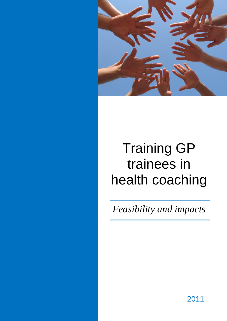

# Training GP trainees in health coaching

*Feasibility and impacts*

2011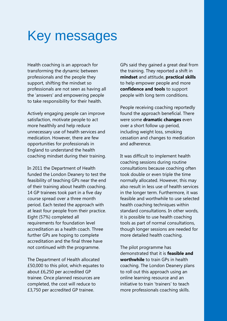# Key messages

Health coaching is an approach for transforming the dynamic between professionals and the people they support, shifting the mindset so professionals are not seen as having all the 'answers' and empowering people to take responsibility for their health.

Actively engaging people can improve satisfaction, motivate people to act more healthily and help reduce unnecessary use of health services and medication. However, there are few opportunities for professionals in England to understand the health coaching mindset during their training.

In 2011 the Department of Health funded the London Deanery to test the feasibility of teaching GPs near the end of their training about health coaching. 14 GP trainees took part in a five day course spread over a three month period. Each tested the approach with at least four people from their practice. Eight (57%) completed all requirements for foundation level accreditation as a health coach. Three further GPs are hoping to complete accreditation and the final three have not continued with the programme.

The Department of Health allocated £50,000 to this pilot, which equates to about £6,250 per accredited GP trainee. Once planned resources are completed, the cost will reduce to £3,750 per accredited GP trainee.

GPs said they gained a great deal from the training. They reported a shift in **mindset** and attitude, **practical skills** to help empower people and more **confidence and tools** to support people with long term conditions.

People receiving coaching reportedly found the approach beneficial. There were some **dramatic changes** even over a short follow up period, including weight loss, smoking cessation and changes to medication and adherence.

It was difficult to implement health coaching sessions during routine consultations because coaching often took double or even triple the time normally allocated. However, this may also result in less use of health services in the longer term. Furthermore, it was feasible and worthwhile to use selected health coaching techniques within standard consultations. In other words, it is possible to use health coaching tools as part of normal consultations, though longer sessions are needed for more detailed health coaching.

The pilot programme has demonstrated that it is **feasible and worthwhile** to train GPs in health coaching. The London Deanery plans to roll out this approach using an online learning resource and an initiative to train 'trainers' to teach more professionals coaching skills.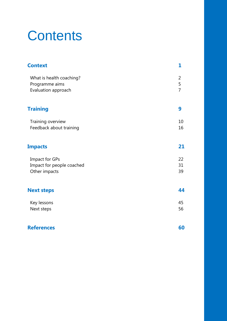# **Contents**

| <b>Context</b>                                                    | 1                                     |
|-------------------------------------------------------------------|---------------------------------------|
| What is health coaching?<br>Programme aims<br>Evaluation approach | $\overline{2}$<br>5<br>$\overline{7}$ |
| <b>Training</b>                                                   | 9                                     |
| Training overview<br>Feedback about training                      | 10<br>16                              |
| <b>Impacts</b>                                                    | 21                                    |
| Impact for GPs<br>Impact for people coached<br>Other impacts      | 22<br>31<br>39                        |
| <b>Next steps</b>                                                 | 44                                    |
| Key lessons<br>Next steps                                         | 45<br>56                              |
| <b>References</b>                                                 | 60                                    |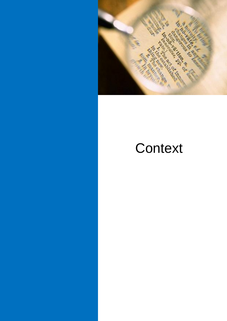

# **Context**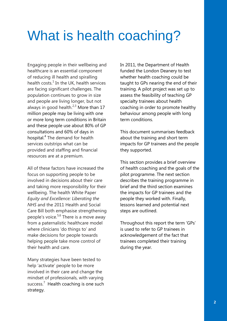# What is health coaching?

Engaging people in their wellbeing and healthcare is an essential component of reducing ill health and spiralling health costs.<sup>1</sup> In the UK, health services are facing significant challenges. The population continues to grow in size and people are living longer, but not always in good health. $^{2,3}$  More than 17 million people may be living with one or more long term conditions in Britain and these people use about 80% of GP consultations and 60% of days in hospital.<sup>4</sup> The demand for health services outstrips what can be provided and staffing and financial resources are at a premium.

All of these factors have increased the focus on supporting people to be involved in decisions about their care and taking more responsibility for their wellbeing. The health White Paper *Equity and Excellence: Liberating the NHS* and the 2011 Health and Social Care Bill both emphasise strengthening people's voice.<sup>5,6</sup> There is a move away from a paternalistic healthcare model where clinicians 'do things to' and make decisions for people towards helping people take more control of their health and care.

Many strategies have been tested to help 'activate' people to be more involved in their care and change the mindset of professionals, with varying success. $<sup>7</sup>$  Health coaching is one such</sup> strategy.

In 2011, the Department of Health funded the London Deanery to test whether health coaching could be taught to GPs nearing the end of their training. A pilot project was set up to assess the feasibility of teaching GP specialty trainees about health coaching in order to promote healthy behaviour among people with long term conditions.

This document summarises feedback about the training and short term impacts for GP trainees and the people they supported.

This section provides a brief overview of health coaching and the goals of the pilot programme. The next section describes the training programme in brief and the third section examines the impacts for GP trainees and the people they worked with. Finally, lessons learned and potential next steps are outlined.

Throughout this report the term 'GPs' is used to refer to GP trainees in acknowledgement of the fact that trainees completed their training during the year.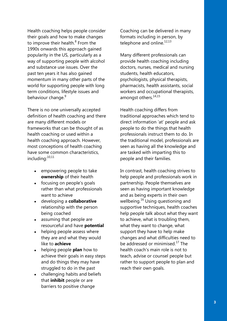Health coaching helps people consider their goals and how to make changes to improve their health.<sup>8</sup> From the 1990s onwards this approach gained popularity in the US, particularly as a way of supporting people with alcohol and substance use issues. Over the past ten years it has also gained momentum in many other parts of the world for supporting people with long term conditions, lifestyle issues and behaviour change.<sup>9</sup>

There is no one universally accepted definition of health coaching and there are many different models or frameworks that can be thought of as health coaching or used within a health coaching approach. However, most conceptions of health coaching have some common characteristics,  $in$ cluding: $10,11$ 

- empowering people to take **ownership** of their health
- focusing on people's goals rather than what professionals want to achieve
- developing a **collaborative** relationship with the person being coached
- assuming that people are  $\bullet$ resourceful and have **potential**
- helping people assess where  $\bullet$ they are and what they would like to **achieve**
- helping people **plan** how to  $\bullet$ achieve their goals in easy steps and do things they may have struggled to do in the past
- challenging habits and beliefs that **inhibit** people or are barriers to positive change

Coaching can be delivered in many formats including in person, by telephone and online.<sup>12,13</sup>

Many different professionals can provide health coaching including doctors, nurses, medical and nursing students, health educators, psychologists, physical therapists, pharmacists, health assistants, social workers and occupational therapists, amongst others.<sup>14,15</sup>

Health coaching differs from traditional approaches which tend to direct information 'at' people and ask people to do the things that health professionals instruct them to do. In the traditional model, professionals are seen as having all the knowledge and are tasked with imparting this to people and their families.

In contrast, health coaching strives to help people and professionals work in partnership. People themselves are seen as having important knowledge and as being experts in their own wellbeing.<sup>16</sup> Using questioning and supportive techniques, health coaches help people talk about what they want to achieve, what is troubling them, what they want to change, what support they have to help make changes and what difficulties need to be addressed or minimised.<sup>17</sup> The health coach's main role is not to teach, advise or counsel people but rather to support people to plan and reach their own goals.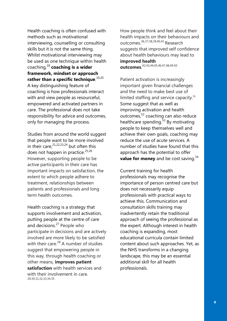Health coaching is often confused with methods such as motivational interviewing, counselling or consulting skills but it is not the same thing. Whilst motivational interviewing may be used as one technique within health coaching,<sup>18</sup> **coaching is a wider framework, mindset or approach rather than a specific technique**. 19,20 A key distinguishing feature of coaching is how professionals interact with and view people as resourceful, empowered and activated partners in care. The professional does not take responsibility for advice and outcomes, only for managing the process.

Studies from around the world suggest that people want to be more involved in their care, <sup>21,22,23,24</sup> but often this does not happen in practice.<sup>25,26</sup> However, supporting people to be active participants in their care has important impacts on satisfaction, the extent to which people adhere to treatment, relationships between patients and professionals and long term health outcomes.

Health coaching is a strategy that supports involvement and activation, putting people at the centre of care and decisions.<sup>27</sup> People who participate in decisions and are actively involved are more likely to be satisfied with their care. $^{28}$  A number of studies suggest that empowering people in this way, through health coaching or other means, **improves patient satisfaction** with health services and with their involvement in care. 29,30,31,32,33,34,35

How people think and feel about their health impacts on their behaviours and outcomes.36,37,38,39,40,41 Research suggests that improved self confidence about health behaviours may lead to **improved health outcomes**. 42,43,44,45,46,47,48,49,50

Patient activation is increasingly important given financial challenges and the need to make best use of limited staffing and service capacity. $51$ Some suggest that as well as improving activation and health outcomes,<sup>52</sup> coaching can also reduce healthcare spending. $53$  By motivating people to keep themselves well and achieve their own goals, coaching may reduce the use of acute services. A number of studies have found that this approach has the potential to offer **value for money** and be cost saving.<sup>54</sup>

Current training for health professionals may recognise the importance of person centred care but does not necessarily equip professionals with practical ways to achieve this. Communication and consultation skills training may inadvertently retain the traditional approach of seeing the professional as the expert. Although interest in health coaching is expanding, most educational curricula contain limited content about such approaches. Yet, as the NHS transforms in a changing landscape, this may be an essential additional skill for all health professionals.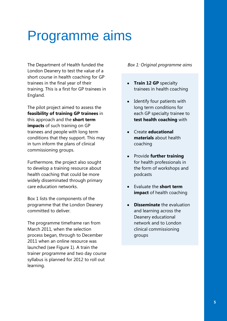# Programme aims

The Department of Health funded the London Deanery to test the value of a short course in health coaching for GP trainees in the final year of their training. This is a first for GP trainees in England.

The pilot project aimed to assess the **feasibility of training GP trainees** in this approach and the **short term impacts** of such training on GP trainees and people with long term conditions that they support. This may in turn inform the plans of clinical commissioning groups.

Furthermore, the project also sought to develop a training resource about health coaching that could be more widely disseminated through primary care education networks.

Box 1 lists the components of the programme that the London Deanery committed to deliver.

The programme timeframe ran from March 2011, when the selection process began, through to December 2011 when an online resource was launched (see Figure 1). A train the trainer programme and two day course syllabus is planned for 2012 to roll out learning.

*Box 1: Original programme aims*

- **Train 12 GP** specialty trainees in health coaching
- Identify four patients with long term conditions for each GP specialty trainee to **test health coaching** with
- Create **educational materials** about health coaching
- Provide **further training** for health professionals in the form of workshops and podcasts
- Evaluate the **short term impact** of health coaching
- **Disseminate** the evaluation and learning across the Deanery educational network and to London clinical commissioning groups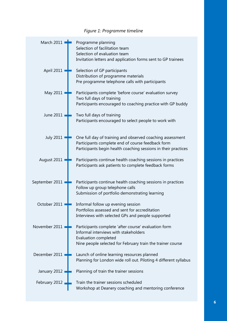#### *Figure 1: Programme timeline*

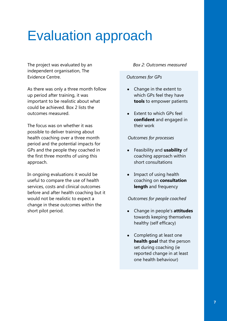# Evaluation approach

The project was evaluated by an independent organisation, The Evidence Centre.

As there was only a three month follow up period after training, it was important to be realistic about what could be achieved. Box 2 lists the outcomes measured.

The focus was on whether it was possible to deliver training about health coaching over a three month period and the potential impacts for GPs and the people they coached in the first three months of using this approach.

In ongoing evaluations it would be useful to compare the use of health services, costs and clinical outcomes before and after health coaching but it would not be realistic to expect a change in these outcomes within the short pilot period.

### *Box 2: Outcomes measured*

## *Outcomes for GPs*

- Change in the extent to which GPs feel they have **tools** to empower patients
- Extent to which GPs feel **confident** and engaged in their work

# *Outcomes for processes*

- Feasibility and **usability** of coaching approach within short consultations
- Impact of using health coaching on **consultation length** and frequency

### *Outcomes for people coached*

- Change in people's **attitudes** towards keeping themselves healthy (self efficacy)
- Completing at least one **health goal** that the person set during coaching (ie reported change in at least one health behaviour)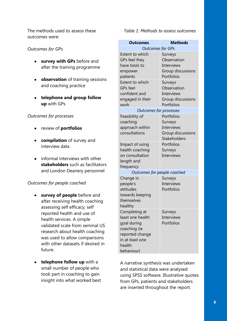The methods used to assess these outcomes were:

*Outcomes for GPs*

- **survey with GPs** before and after the training programme
- **observation** of training sessions and coaching practice
- **telephone and group follow up** with GPs

# *Outcomes for processes*

- review of **portfolios**
- **compilation** of survey and interview data
- informal interviews with other **stakeholders** such as facilitators and London Deanery personnel

# *Outcomes for people coached*

- **survey of people** before and after receiving health coaching assessing self efficacy, self reported health and use of health services. A simple validated scale from seminal US research about health coaching was used to allow comparisons with other datasets if desired in future.
- **telephone follow up** with a small number of people who took part in coaching to gain insight into what worked best

*Table 1: Methods to assess outcomes*

| <b>Outcomes</b>             | <b>Methods</b>    |  |  |
|-----------------------------|-------------------|--|--|
| <b>Outcomes for GPs</b>     |                   |  |  |
| Extent to which             | Surveys           |  |  |
| GPs feel they               | Observation       |  |  |
| have tools to               | Interviews        |  |  |
| empower                     | Group discussions |  |  |
| patients                    | Portfolios        |  |  |
| <b>Extent to which</b>      | Surveys           |  |  |
| GPs feel                    | Observation       |  |  |
| confident and               | Interviews        |  |  |
| engaged in their            | Group discussions |  |  |
| work                        | Portfolios        |  |  |
| Outcomes for processes      |                   |  |  |
| Feasibility of              | Portfolios        |  |  |
| coaching                    | Surveys           |  |  |
| approach within             | Interviews        |  |  |
| consultations               | Group discussions |  |  |
|                             | Stakeholders      |  |  |
| Impact of using             | Portfolios        |  |  |
| health coaching             | Surveys           |  |  |
| on consultation             | Interviews        |  |  |
| length and                  |                   |  |  |
| frequency                   |                   |  |  |
| Outcomes for people coached |                   |  |  |
| Change in                   | Surveys           |  |  |
| people's                    | Interviews        |  |  |
| attitudes                   | Portfolios        |  |  |
| towards keeping             |                   |  |  |
| themselves                  |                   |  |  |
| healthy                     |                   |  |  |
| Completing at               | Surveys           |  |  |
| least one health            | Interviews        |  |  |
| goal during                 | Portfolios        |  |  |
| coaching (ie                |                   |  |  |
| reported change             |                   |  |  |
| in at least one             |                   |  |  |
| health                      |                   |  |  |
| behaviour)                  |                   |  |  |

A narrative synthesis was undertaken and statistical data were analysed using SPSS software. Illustrative quotes from GPs, patients and stakeholders are inserted throughout the report.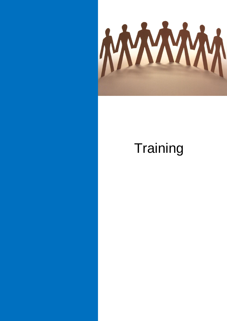

# **Training**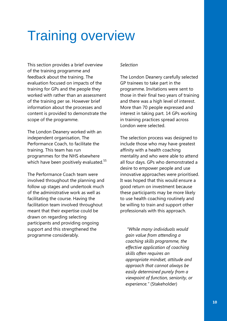# Training overview

This section provides a brief overview of the training programme and feedback about the training. The evaluation focused on impacts of the training for GPs and the people they worked with rather than an assessment of the training per se. However brief information about the processes and content is provided to demonstrate the scope of the programme.

The London Deanery worked with an independent organisation, The Performance Coach, to facilitate the training. This team has run programmes for the NHS elsewhere which have been positively evaluated.<sup>55</sup>

The Performance Coach team were involved throughout the planning and follow up stages and undertook much of the administrative work as well as facilitating the course. Having the facilitation team involved throughout meant that their expertise could be drawn on regarding selecting participants and providing ongoing support and this strengthened the programme considerably.

### *Selection*

The London Deanery carefully selected GP trainees to take part in the programme. Invitations were sent to those in their final two years of training and there was a high level of interest. More than 70 people expressed and interest in taking part. 14 GPs working in training practices spread across London were selected.

The selection process was designed to include those who may have greatest affinity with a health coaching mentality and who were able to attend all four days. GPs who demonstrated a desire to empower people and use innovative approaches were prioritised. It was hoped that this would ensure a good return on investment because these participants may be more likely to use health coaching routinely and be willing to train and support other professionals with this approach.

*"While many individuals would gain value from attending a coaching skills programme, the effective application of coaching skills often requires an appropriate mindset, attitude and approach that cannot always be easily determined purely from a viewpoint of function, seniority, or experience."* (Stakeholder)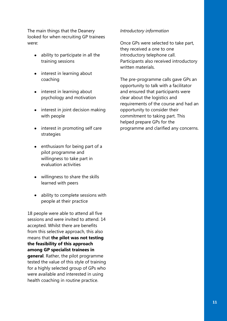The main things that the Deanery looked for when recruiting GP trainees were:

- ability to participate in all the  $\bullet$ training sessions
- interest in learning about coaching
- interest in learning about psychology and motivation
- interest in joint decision making with people
- interest in promoting self care strategies
- enthusiasm for being part of a pilot programme and willingness to take part in evaluation activities
- willingness to share the skills learned with peers
- ability to complete sessions with people at their practice

18 people were able to attend all five sessions and were invited to attend. 14 accepted. Whilst there are benefits from this selective approach, this also means that **the pilot was not testing the feasibility of this approach among GP specialist trainees in general**. Rather, the pilot programme tested the value of this style of training for a highly selected group of GPs who were available and interested in using health coaching in routine practice.

# *Introductory information*

Once GPs were selected to take part, they received a one to one introductory telephone call. Participants also received introductory written materials.

The pre-programme calls gave GPs an opportunity to talk with a facilitator and ensured that participants were clear about the logistics and requirements of the course and had an opportunity to consider their commitment to taking part. This helped prepare GPs for the programme and clarified any concerns.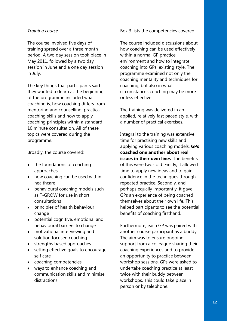# *Training course*

The course involved five days of training spread over a three month period. A two day session took place in May 2011, followed by a two day session in June and a one day session in July.

The key things that participants said they wanted to learn at the beginning of the programme included what coaching is, how coaching differs from mentoring and counselling, practical coaching skills and how to apply coaching principles within a standard 10 minute consultation. All of these topics were covered during the programme.

Broadly, the course covered:

- the foundations of coaching approaches
- how coaching can be used within healthcare
- behavioural coaching models such as T-GROW for use in short consultations
- principles of health behaviour change
- potential cognitive, emotional and behavioural barriers to change
- motivational interviewing and solution focused coaching
- strengths based approaches
- setting effective goals to encourage self care
- coaching competencies
- ways to enhance coaching and communication skills and minimise distractions

Box 3 lists the competencies covered.

The course included discussions about how coaching can be used effectively within a normal GP practice environment and how to integrate coaching into GPs' existing style. The programme examined not only the coaching mentality and techniques for coaching, but also in what circumstances coaching may be more or less effective.

The training was delivered in an applied, relatively fast paced style, with a number of practical exercises.

Integral to the training was extensive time for practising new skills and applying various coaching models. **GPs coached one another about real issues in their own lives**. The benefits of this were two-fold. Firstly, it allowed time to apply new ideas and to gain confidence in the techniques through repeated practice. Secondly, and perhaps equally importantly, it gave GPs an experience of being coached themselves about their own life. This helped participants to see the potential benefits of coaching firsthand.

Furthermore, each GP was paired with another course participant as a buddy. The aim was to ensure ongoing support from a colleague sharing their coaching experiences and to provide an opportunity to practice between workshop sessions. GPs were asked to undertake coaching practice at least twice with their buddy between workshops. This could take place in person or by telephone.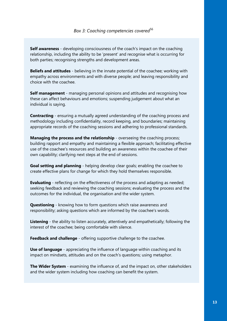**Self awareness** - developing consciousness of the coach's impact on the coaching relationship, including the ability to be 'present' and recognise what is occurring for both parties; recognising strengths and development areas.

**Beliefs and attitudes** - believing in the innate potential of the coachee; working with empathy across environments and with diverse people; and leaving responsibility and choice with the coachee.

**Self management** - managing personal opinions and attitudes and recognising how these can affect behaviours and emotions; suspending judgement about what an individual is saying.

**Contracting** - ensuring a mutually agreed understanding of the coaching process and methodology including confidentiality, record keeping, and boundaries; maintaining appropriate records of the coaching sessions and adhering to professional standards.

**Managing the process and the relationship** - overseeing the coaching process; building rapport and empathy and maintaining a flexible approach; facilitating effective use of the coachee's resources and building an awareness within the coachee of their own capability; clarifying next steps at the end of sessions.

**Goal setting and planning** - helping develop clear goals; enabling the coachee to create effective plans for change for which they hold themselves responsible.

**Evaluating** - reflecting on the effectiveness of the process and adapting as needed; seeking feedback and reviewing the coaching sessions; evaluating the process and the outcomes for the individual, the organisation and the wider system.

**Questioning** - knowing how to form questions which raise awareness and responsibility; asking questions which are informed by the coachee's words.

**Listening** - the ability to listen accurately, attentively and empathetically; following the interest of the coachee; being comfortable with silence.

**Feedback and challenge** - offering supportive challenge to the coachee.

**Use of language** - appreciating the influence of language within coaching and its impact on mindsets, attitudes and on the coach's questions; using metaphor.

**The Wider System** - examining the influence of, and the impact on, other stakeholders and the wider system including how coaching can benefit the system.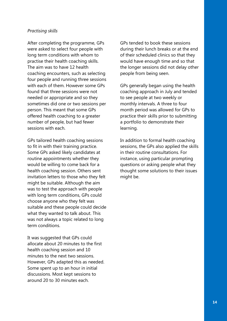### *Practising skills*

After completing the programme, GPs were asked to select four people with long term conditions with whom to practise their health coaching skills. The aim was to have 12 health coaching encounters, such as selecting four people and running three sessions with each of them. However some GPs found that three sessions were not needed or appropriate and so they sometimes did one or two sessions per person. This meant that some GPs offered health coaching to a greater number of people, but had fewer sessions with each.

GPs tailored health coaching sessions to fit in with their training practice. Some GPs asked likely candidates at routine appointments whether they would be willing to come back for a health coaching session. Others sent invitation letters to those who they felt might be suitable. Although the aim was to test the approach with people with long term conditions, GPs could choose anyone who they felt was suitable and these people could decide what they wanted to talk about. This was not always a topic related to long term conditions.

It was suggested that GPs could allocate about 20 minutes to the first health coaching session and 10 minutes to the next two sessions. However, GPs adapted this as needed. Some spent up to an hour in initial discussions. Most kept sessions to around 20 to 30 minutes each.

GPs tended to book these sessions during their lunch breaks or at the end of their scheduled clinics so that they would have enough time and so that the longer sessions did not delay other people from being seen.

GPs generally began using the health coaching approach in July and tended to see people at two weekly or monthly intervals. A three to four month period was allowed for GPs to practice their skills prior to submitting a portfolio to demonstrate their learning.

In addition to formal health coaching sessions, the GPs also applied the skills in their routine consultations. For instance, using particular prompting questions or asking people what they thought some solutions to their issues might be.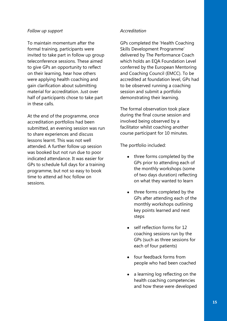### *Follow up support*

To maintain momentum after the formal training, participants were invited to take part in follow up group teleconference sessions. These aimed to give GPs an opportunity to reflect on their learning, hear how others were applying health coaching and gain clarification about submitting material for accreditation. Just over half of participants chose to take part in these calls.

At the end of the programme, once accreditation portfolios had been submitted, an evening session was run to share experiences and discuss lessons learnt. This was not well attended. A further follow up session was booked but not run due to poor indicated attendance. It was easier for GPs to schedule full days for a training programme, but not so easy to book time to attend ad hoc follow on sessions.

#### *Accreditation*

GPs completed the 'Health Coaching Skills Development Programme' delivered by The Performance Coach which holds an EQA Foundation Level conferred by the European Mentoring and Coaching Council (EMCC). To be accredited at foundation level, GPs had to be observed running a coaching session and submit a portfolio demonstrating their learning.

The formal observation took place during the final course session and involved being observed by a facilitator whilst coaching another course participant for 10 minutes.

The portfolio included:

- three forms completed by the GPs prior to attending each of the monthly workshops (some of two days duration) reflecting on what they wanted to learn
- three forms completed by the GPs after attending each of the monthly workshops outlining key points learned and next steps
- self reflection forms for 12 coaching sessions run by the GPs (such as three sessions for each of four patients)
- four feedback forms from people who had been coached
- a learning log reflecting on the health coaching competencies and how these were developed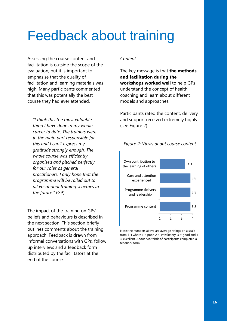# Feedback about training

Assessing the course content and facilitation is outside the scope of the evaluation, but it is important to emphasise that the quality of facilitation and learning materials was high. Many participants commented that this was potentially the best course they had ever attended.

*"I think this the most valuable thing I have done in my whole career to date. The trainers were in the main part responsible for this and I can"t express my gratitude strongly enough. The whole course was efficiently organised and pitched perfectly for our roles as general practitioners. I only hope that the programme will be rolled out to all vocational training schemes in the future."* (GP)

The impact of the training on GPs' beliefs and behaviours is described in the next section. This section briefly outlines comments about the training approach. Feedback is drawn from informal conversations with GPs, follow up interviews and a feedback form distributed by the facilitators at the end of the course.

#### *Content*

The key message is that **the methods and facilitation during the workshops worked well** to help GPs understand the concept of health coaching and learn about different models and approaches.

Participants rated the content, delivery and support received extremely highly (see Figure 2).



#### *Figure 2: Views about course content*

Note: the numbers above are average ratings on a scale from 1-4 where  $1 =$  poor,  $2 =$  satisfactory,  $3 =$  good and 4 = excellent. About two thirds of participants completed a feedback form.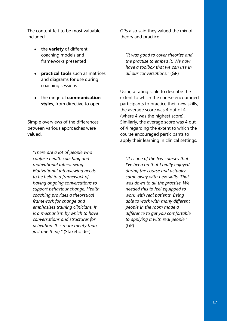The content felt to be most valuable included:

- the **variety** of different coaching models and frameworks presented
- **practical tools** such as matrices and diagrams for use during coaching sessions
- the range of **communication styles**, from directive to open

Simple overviews of the differences between various approaches were valued.

*"There are a lot of people who confuse health coaching and motivational interviewing. Motivational interviewing needs to be held in a framework of having ongoing conversations to support behaviour change. Health coaching provides a theoretical framework for change and emphasises training clinicians. It is a mechanism by which to have conversations and structures for activation. It is more meaty than just one thing."* (Stakeholder)

GPs also said they valued the mix of theory and practice.

*"It was good to cover theories and the practise to embed it. We now have a toolbox that we can use in all our conversations."* (GP)

Using a rating scale to describe the extent to which the course encouraged participants to practice their new skills, the average score was 4 out of 4 (where 4 was the highest score). Similarly, the average score was 4 out of 4 regarding the extent to which the course encouraged participants to apply their learning in clinical settings.

*"It is one of the few courses that I"ve been on that I really enjoyed during the course and actually came away with new skills. That was down to all the practise. We needed this to feel equipped to work with real patients. Being able to work with many different people in the room made a difference to get you comfortable to applying it with real people."*  (GP)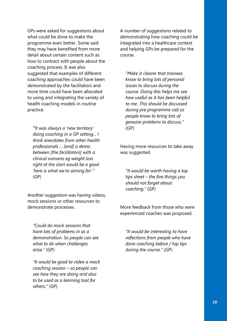GPs were asked for suggestions about what could be done to make the programme even better. Some said they may have benefited from more detail about certain content such as how to contract with people about the coaching process. It was also suggested that examples of different coaching approaches could have been demonstrated by the facilitators and more time could have been allocated to using and integrating the variety of health coaching models in routine practice.

*"It was always a "new territory" doing coaching in a GP setting... I think anecdotes from other health professionals ... [and] a demo between [the facilitators] with a clinical scenario eg weight loss right at the start would be a good 'here is what we're aiming for'."* (GP)

Another suggestion was having videos, mock sessions or other resources to demonstrate processes.

*"Could do mock sessions that have lots of problems in as a demonstration. So people can see what to do when challenges arise."* (GP)

*"It would be good to video a mock coaching session – so people can see how they are doing and also to be used as a learning tool for others."* (GP)

A number of suggestions related to demonstrating how coaching could be integrated into a healthcare context and helping GPs be prepared for the course.

*"Make it clearer that trainees know to bring lots of personal issues to discuss during the course. Doing this helps me see how useful as it has been helpful to me. This should be discussed during pre programme call so people know to bring lots of genuine problems to discuss."*  (GP)

Having more resources to take away was suggested.

*"It would be worth having a top tips sheet – the five things you should not forget about coaching."* (GP)

More feedback from those who were experienced coaches was proposed.

*"It would be interesting to have reflections from people who have done coaching before / top tips during the course."* (GP)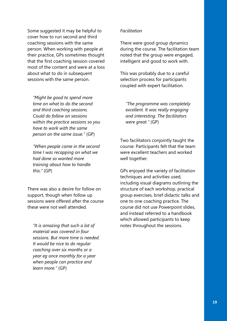Some suggested it may be helpful to cover how to run second and third coaching sessions with the same person. When working with people at their practice, GPs sometimes thought that the first coaching session covered most of the content and were at a loss about what to do in subsequent sessions with the same person.

*"Might be good to spend more time on what to do the second and third coaching sessions. Could do follow on sessions within the practice sessions so you have to work with the same person on the same issue."* (GP)

*"When people came in the second time I was recapping on what we had done so wanted more training about how to handle this."* (GP)

There was also a desire for follow on support, though when follow up sessions were offered after the course these were not well attended.

*"It is amazing that such a lot of material was covered in four sessions. But more time is needed. It would be nice to do regular coaching over six months or a year eg once monthly for a year when people can practice and learn more."* (GP)

### *Facilitation*

There were good group dynamics during the course. The facilitation team noted that the group were engaged, intelligent and good to work with.

This was probably due to a careful selection process for participants coupled with expert facilitation.

*"The programme was completely excellent. It was really engaging and interesting. The facilitators were great."* (GP)

Two facilitators conjointly taught the course. Participants felt that the team were excellent teachers and worked well together.

GPs enjoyed the variety of facilitation techniques and activities used, including visual diagrams outlining the structure of each workshop, practical group exercises, brief didactic talks and one to one coaching practice. The course did not use Powerpoint slides, and instead referred to a handbook which allowed participants to keep notes throughout the sessions.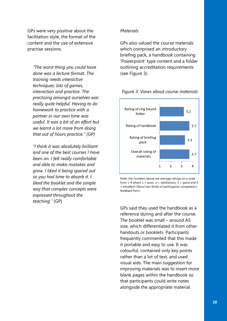GPs were very positive about the facilitation style, the format of the content and the use of extensive practise sessions.

*"The worst thing you could have done was a lecture format. The training needs interactive techniques; lots of games, interaction and practice. The practising amongst ourselves was really quite helpful. Having to do homework to practice with a partner in our own time was useful. It was a bit of an effort but we learnt a lot more from doing that out of hours practice." (GP)* 

*"I think it was absolutely brilliant and one of the best courses I have been on. I felt really comfortable and able to make mistakes and grow. I liked it being spaced out so you had time to absorb it. I liked the booklet and the simple way that complex concepts were expressed throughout the teaching."* (GP)

### *Materials*

GPs also valued the course materials which comprised an introductory briefing pack, a handbook containing 'Powerpoint' type content and a folder outlining accreditation requirements (see Figure 3).

# *Figure 3: Views about course materials*



Note: the numbers above are average ratings on a scale from 1-4 where  $1 =$  poor,  $2 =$  satisfactory,  $3 =$  good and 4 = excellent. About two thirds of participants completed a feedback form.

GPs said they used the handbook as a reference during and after the course. The booklet was small – around A5 size, which differentiated it from other handouts or booklets. Participants frequently commented that this made it portable and easy to use. It was colourful, contained only key points rather than a lot of text, and used visual aids. The main suggestion for improving materials was to insert more blank pages within the handbook so that participants could write notes alongside the appropriate material.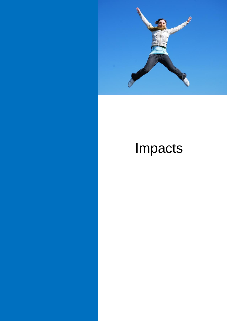

# Impacts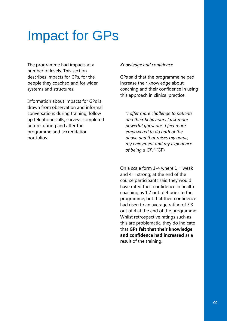# Impact for GPs

The programme had impacts at a number of levels. This section describes impacts for GPs, for the people they coached and for wider systems and structures.

Information about impacts for GPs is drawn from observation and informal conversations during training, follow up telephone calls, surveys completed before, during and after the programme and accreditation portfolios.

### *Knowledge and confidence*

GPs said that the programme helped increase their knowledge about coaching and their confidence in using this approach in clinical practice.

*"I offer more challenge to patients and their behaviours I ask more powerful questions. I feel more empowered to do both of the above and that raises my game, my enjoyment and my experience of being a GP."* (GP)

On a scale form 1-4 where  $1 =$  weak and  $4 =$  strong, at the end of the course participants said they would have rated their confidence in health coaching as 1.7 out of 4 prior to the programme, but that their confidence had risen to an average rating of 3.3 out of 4 at the end of the programme. Whilst retrospective ratings such as this are problematic, they do indicate that **GPs felt that their knowledge and confidence had increased** as a result of the training.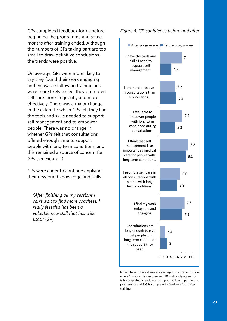GPs completed feedback forms before beginning the programme and some months after training ended. Although the numbers of GPs taking part are too small to draw definitive conclusions, the trends were positive.

On average, GPs were more likely to say they found their work engaging and enjoyable following training and were more likely to feel they promoted self care more frequently and more effectively. There was a major change in the extent to which GPs felt they had the tools and skills needed to support self management and to empower people. There was no change in whether GPs felt that consultations offered enough time to support people with long term conditions, and this remained a source of concern for GPs (see Figure 4).

GPs were eager to continue applying their newfound knowledge and skills.

*"After finishing all my sessions I can"t wait to find more coachees. I really feel this has been a valuable new skill that has wide uses."* (GP)

### *Figure 4: GP confidence before and after*



Note: The numbers above are averages on a 10 point scale where  $1 =$  strongly disagree and  $10 =$  strongly agree. 13 GPs completed a feedback form prior to taking part in the programme and 8 GPs completed a feedback form after training.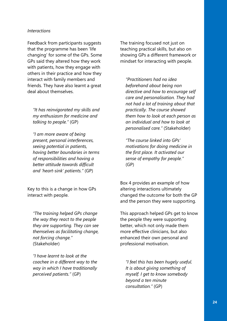#### *Interactions*

Feedback from participants suggests that the programme has been 'life changing' for some of the GPs. Some GPs said they altered how they work with patients, how they engage with others in their practice and how they interact with family members and friends. They have also learnt a great deal about themselves.

*"It has reinvigorated my skills and my enthusiasm for medicine and talking to people."* (GP)

*"I am more aware of being present, personal interferences, seeing potential in patients, having better boundaries in terms of responsibilities and having a better attitude towards difficult and 'heart-sink' patients."* (GP)

Key to this is a change in how GPs interact with people.

*"The training helped GPs change the way they react to the people they are supporting. They can see themselves as facilitating change, not forcing change."* (Stakeholder)

*"I have learnt to look at the coachee in a different way to the way in which I have traditionally perceived patients."* (GP)

The training focused not just on teaching practical skills, but also on showing GPs a different framework or mindset for interacting with people.

*"Practitioners had no idea beforehand about being non directive and how to encourage self care and personalisation. They had not had a lot of training about that practically. The course showed them how to look at each person as an individual and how to look at personalised care."* (Stakeholder)

*"The course linked into GPs" motivations for doing medicine in the first place. It activated our sense of empathy for people."* (GP)

Box 4 provides an example of how altering interactions ultimately changed the outcome for both the GP and the person they were supporting.

This approach helped GPs get to know the people they were supporting better, which not only made them more effective clinicians, but also enhanced their own personal and professional motivation.

*"I feel this has been hugely useful. It is about giving something of myself. I get to know somebody beyond a ten minute consultation."* (GP)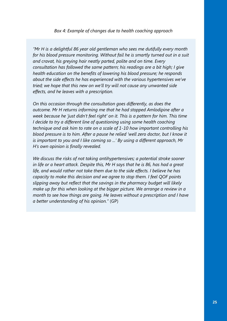### *Box 4: Example of changes due to health coaching approach*

*"Mr H is a delightful 86 year old gentleman who sees me dutifully every month for his blood pressure monitoring. Without fail he is smartly turned out in a suit and cravat, his greying hair neatly parted, polite and on time. Every consultation has followed the same pattern; his readings are a bit high; I give health education on the benefits of lowering his blood pressure; he responds about the side effects he has experienced with the various hypertensives we"ve tried; we hope that this new on we"ll try will not cause any unwanted side effects, and he leaves with a prescription.*

*On this occasion through the consultation goes differently, as does the outcome. Mr H returns informing me that he had stopped Amlodipine after a week because he "just didn"t feel right" on it. This is a pattern for him. This time I decide to try a different line of questioning using some health coaching technique and ask him to rate on a scale of 1-10 how important controlling his blood pressure is to him. After a pause he relied "well zero doctor, but I know it is important to you and I like coming so ..." By using a different approach, Mr H"s own opinion is finally revealed.*

*We discuss the risks of not taking antihypertensives; a potential stroke sooner in life or a heart attack. Despite this, Mr H says that he is 86, has had a great life, and would rather not take them due to the side effects. I believe he has capacity to make this decision and we agree to stop them. I feel QOF points slipping away but reflect that the savings in the pharmacy budget will likely make up for this when looking at the bigger picture. We arrange a review in a month to see how things are going. He leaves without a prescription and I have a better understanding of his opinion."* (GP)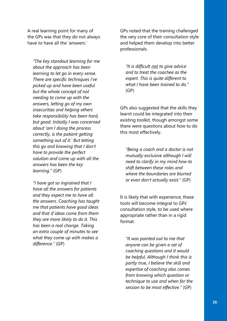A real learning point for many of the GPs was that they do not always have to have all the 'answers.'

*"The key standout learning for me about the approach has been learning to let go in every sense. There are specific techniques I"ve picked up and have been useful but the whole concept of not needing to come up with the answers, letting go of my own insecurities and helping others take responsibility has been hard, but good. Initially I was concerned about "am I doing the process correctly, is the patient getting something out of it." But letting this go and knowing that I don"t have to provide the perfect solution and come up with all the answers has been the key learning."* (GP)

*"I have got so ingrained that I have all the answers for patients and they expect me to have all the answers. Coaching has taught me that patients have good ideas and that if ideas come from them they are more likely to do it. This has been a real change. Taking an extra couple of minutes to see what they come up with makes a difference."* (GP)

GPs noted that the training challenged the very core of their consultation style and helped them develop into better professionals.

*"It is difficult not to give advice and to treat the coachee as the expert. This is quite different to what I have been trained to do."* (GP)

GPs also suggested that the skills they learnt could be integrated into their existing toolkit, though amongst some there were questions about how to do this most effectively.

*"Being a coach and a doctor is not mutually exclusive although I will need to clarify in my mind how to shift between these roles and where the boundaries are blurred or even don"t actually exist."* (GP)

It is likely that with experience, these tools will become integral to GPs' consultation style, to be used where appropriate rather than in a rigid format.

*"It was pointed out to me that anyone can be given a set of coaching questions and it would be helpful. Although I think this is partly true, I believe the skill and expertise of coaching also comes from knowing which question or technique to use and when for the session to be most effective."* (GP)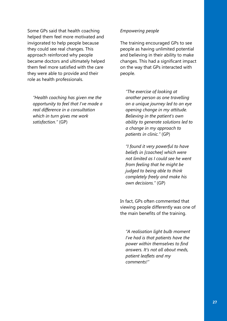Some GPs said that health coaching helped them feel more motivated and invigorated to help people because they could see real changes. This approach reinforced why people became doctors and ultimately helped them feel more satisfied with the care they were able to provide and their role as health professionals.

*"Health coaching has given me the opportunity to feel that I've made a real difference in a consultation which in turn gives me work satisfaction."* (GP)

#### *Empowering people*

The training encouraged GPs to see people as having unlimited potential and believing in their ability to make changes. This had a significant impact on the way that GPs interacted with people.

*"The exercise of looking at another person as one travelling on a unique journey led to an eye opening change in my attitude. Believing in the patient"s own ability to generate solutions led to a change in my approach to patients in clinic."* (GP)

*"I found it very powerful to have beliefs in [coachee] which were not limited as I could see he went from feeling that he might be judged to being able to think completely freely and make his own decisions."* (GP)

In fact, GPs often commented that viewing people differently was one of the main benefits of the training.

*"A realisation light bulb moment I"ve had is that patients have the power within themselves to find answers. It"s not all about meds, patient leaflets and my comments!"*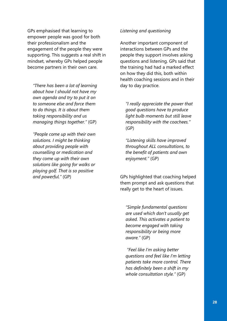GPs emphasised that learning to empower people was good for both their professionalism and the engagement of the people they were supporting. This suggests a real shift in mindset, whereby GPs helped people become partners in their own care.

*"There has been a lot of learning about how I should not have my own agenda and try to put it on to someone else and force them to do things. It is about them taking responsibility and us managing things together."* (GP)

*"People come up with their own solutions. I might be thinking about providing people with counselling or medication and they come up with their own solutions like going for walks or playing golf. That is so positive and powerful."* (GP)

#### *Listening and questioning*

Another important component of interactions between GPs and the people they support involves asking questions and listening. GPs said that the training had had a marked effect on how they did this, both within health coaching sessions and in their day to day practice.

*"I really appreciate the power that good questions have to produce light bulb moments but still leave responsibility with the coachees."*  (GP)

*"Listening skills have improved throughout ALL consultations, to the benefit of patients and own enjoyment."* (GP)

GPs highlighted that coaching helped them prompt and ask questions that really get to the heart of issues.

*"Simple fundamental questions are used which don"t usually get asked. This activates a patient to become engaged with taking responsibility or being more aware."* (GP)

*"Feel like I"m asking better questions and feel like I"m letting patients take more control. There has definitely been a shift in my whole consultation style."* (GP)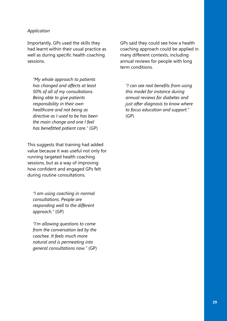#### *Application*

Importantly, GPs used the skills they had learnt within their usual practice as well as during specific health coaching sessions.

*"My whole approach to patients has changed and affects at least 50% of all of my consultations. Being able to give patients responsibility in their own healthcare and not being as directive as I used to be has been the main change and one I feel has benefitted patient care."* (GP)

This suggests that training had added value because it was useful not only for running targeted health coaching sessions, but as a way of improving how confident and engaged GPs felt during routine consultations.

*"I am using coaching in normal consultations. People are responding well to the different approach."* (GP)

*"I"m allowing questions to come from the conversation led by the coachee. It feels much more natural and is permeating into general consultations now."* (GP) GPs said they could see how a health coaching approach could be applied in many different contexts, including annual reviews for people with long term conditions.

*"I can see real benefits from using this model for instance during annual reviews for diabetes and just after diagnosis to know where to focus education and support."*  (GP)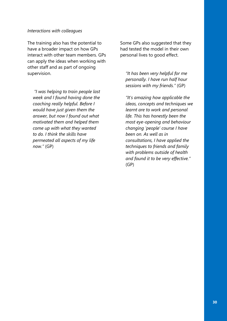#### *Interactions with colleagues*

The training also has the potential to have a broader impact on how GPs interact with other team members. GPs can apply the ideas when working with other staff and as part of ongoing supervision.

*"I was helping to train people last week and I found having done the coaching really helpful. Before I would have just given them the answer, but now I found out what motivated them and helped them come up with what they wanted to do. I think the skills have permeated all aspects of my life now."* (GP)

Some GPs also suggested that they had tested the model in their own personal lives to good effect.

*"It has been very helpful for me personally. I have run half hour sessions with my friends."* (GP)

*"It's amazing how applicable the ideas, concepts and techniques we learnt are to work and personal life. This has honestly been the most eye-opening and behaviour changing 'people' course I have been on. As well as in consultations, I have applied the techniques to friends and family with problems outside of health and found it to be very effective."*  (GP)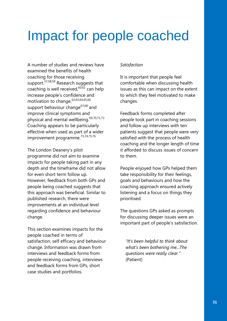# Impact for people coached

A number of studies and reviews have examined the benefits of health coaching for those receiving support.<sup>57,58,59</sup> Research suggests that  $\overline{\text{co}}$ coaching is well received.<sup>60,61</sup> can help increase people's confidence and motivation to change, 62,63,64,65,66 support behaviour change<sup>67,68</sup> and improve clinical symptoms and physical and mental wellbeing.<sup>69,70,71,72</sup> Coaching appears to be particularly effective when used as part of a wider improvement programme.73,74,75,76

The London Deanery's pilot programme did not aim to examine impacts for people taking part in any depth and the timeframe did not allow for even short term follow up. However, feedback from both GPs and people being coached suggests that this approach was beneficial. Similar to published research, there were improvements at an individual level regarding confidence and behaviour change.

This section examines impacts for the people coached in terms of satisfaction, self efficacy and behaviour change. Information was drawn from interviews and feedback forms from people receiving coaching, interviews and feedback forms from GPs, short case studies and portfolios.

### *Satisfaction*

It is important that people feel comfortable when discussing health issues as this can impact on the extent to which they feel motivated to make changes.

Feedback forms completed after people took part in coaching sessions and follow up interviews with ten patients suggest that people were very satisfied with the process of health coaching and the longer length of time it afforded to discuss issues of concern to them.

People enjoyed how GPs helped them take responsibility for their feelings, goals and behaviours and how the coaching approach ensured actively listening and a focus on things they prioritised.

The questions GPs asked as prompts for discussing deeper issues were an important part of people's satisfaction.

*"It"s been helpful to think about what"s been bothering me...The questions were really clear."*  (Patient)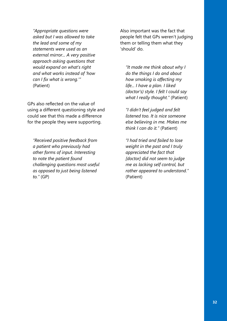*"Appropriate questions were asked but I was allowed to take the lead and some of my statements were used as an external mirror... A very positive approach asking questions that would expand on what"s right and what works instead of "how can I fix what is wrong.""*  (Patient)

GPs also reflected on the value of using a different questioning style and could see that this made a difference for the people they were supporting.

*"Received positive feedback from a patient who previously had other forms of input. Interesting to note the patient found challenging questions most useful as opposed to just being listened to."* (GP)

Also important was the fact that people felt that GPs weren't judging them or telling them what they 'should' do.

*"It made me think about why I do the things I do and about how smoking is affecting my life... I have a plan. I liked (doctor"s) style. I felt I could say what I really thought."* (Patient)

*"I didn"t feel judged and felt listened too. It is nice someone else believing in me. Makes me think I can do it."* (Patient)

*"I had tried and failed to lose weight in the past and I truly appreciated the fact that [doctor] did not seem to judge me as lacking self control, but rather appeared to understand."*  (Patient)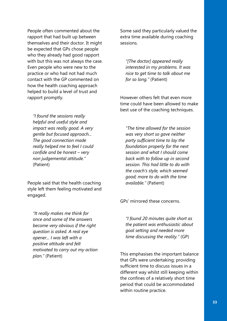People often commented about the rapport that had built up between themselves and their doctor. It might be expected that GPs chose people who they already had good rapport with but this was not always the case. Even people who were new to the practice or who had not had much contact with the GP commented on how the health coaching approach helped to build a level of trust and rapport promptly.

*"I found the sessions really helpful and useful style and impact was really good. A very gentle but focused approach... The good connection made really helped me to feel I could confide and be honest – very non judgemental attitude."*  (Patient)

People said that the health coaching style left them feeling motivated and engaged.

*"It really makes me think for once and some of the answers become very obvious if the right question is asked. A real eye opener... I was left with a positive attitude and felt motivated to carry out my action plan."* (Patient)

Some said they particularly valued the extra time available during coaching sessions.

*"[The doctor] appeared really interested in my problems. It was nice to get time to talk about me for so long."* (Patient)

However others felt that even more time could have been allowed to make best use of the coaching techniques.

*"The time allowed for the session was very short so gave neither party sufficient time to lay the foundation properly for the next session and what I should come back with to follow up in second session. This had little to do with the coach"s style, which seemed good; more to do with the time available."* (Patient)

GPs' mirrored these concerns.

*"I found 20 minutes quite short as the patient was enthusiastic about goal setting and needed more time discussing the reality."* (GP)

This emphasises the important balance that GPs were undertaking; providing sufficient time to discuss issues in a different way whilst still keeping within the confines of a relatively short time period that could be accommodated within routine practice.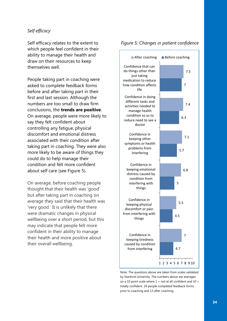### *Self efficacy*

Self efficacy relates to the extent to which people feel confident in their ability to manage their health and draw on their resources to keep themselves well.

People taking part in coaching were asked to complete feedback forms before and after taking part in their first and last session. Although the numbers are too small to draw firm conclusions, the **trends are positive**. On average, people were more likely to say they felt confident about controlling any fatigue, physical discomfort and emotional distress associated with their condition after taking part in coaching. They were also more likely to be aware of things they could do to help manage their condition and felt more confident about self care (see Figure 5).

On average, before coaching people thought that their health was 'good' but after taking part in coaching on average they said that their health was 'very good.' It is unlikely that there were dramatic changes in physical wellbeing over a short period, but this may indicate that people felt more confident in their ability to manage their health and more positive about their overall wellbeing.

#### *Figure 5: Changes in patient confidence*



Note: The questions above are taken from scales validated by Stanford University. The numbers above are averages on a 10 point scale where  $1 =$  not at all confident and  $10 =$ totally confident. 24 people completed feedback forms prior to coaching and 13 after coaching.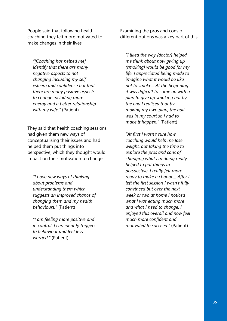People said that following health coaching they felt more motivated to make changes in their lives.

*"[Coaching has helped me] identify that there are many negative aspects to not changing including my self esteem and confidence but that there are many positive aspects to change including more energy and a better relationship with my wife."* (Patient)

They said that health coaching sessions had given them new ways of conceptualising their issues and had helped them put things into perspective, which they thought would impact on their motivation to change.

*"I have new ways of thinking about problems and understanding them which suggests an improved chance of changing them and my health behaviours."* (Patient)

*"I am feeling more positive and in control. I can identify triggers to behaviour and feel less worried."* (Patient)

Examining the pros and cons of different options was a key part of this.

*"I liked the way [doctor] helped me think about how giving up (smoking) would be good for my life. I appreciated being made to imagine what it would be like not to smoke... At the beginning it was difficult to come up with a plan to give up smoking but by the end I realised that by making my own plan, the ball was in my court so I had to make it happen."* (Patient)

*"At first I wasn"t sure how coaching would help me lose weight, but taking the time to explore the pros and cons of changing what I"m doing really helped to put things in perspective. I really felt more ready to make a change... After I left the first session I wasn"t fully convinced but over the next week or two at home I noticed what I was eating much more and what I need to change. I enjoyed this overall and now feel much more confident and motivated to succeed."* (Patient)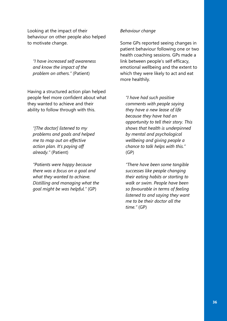Looking at the impact of their behaviour on other people also helped to motivate change.

*"I have increased self awareness and know the impact of the problem on others."* (Patient)

Having a structured action plan helped people feel more confident about what they wanted to achieve and their ability to follow through with this.

*"[The doctor] listened to my problems and goals and helped me to map out an effective action plan. It"s paying off already."* (Patient)

*"Patients were happy because there was a focus on a goal and what they wanted to achieve. Distilling and managing what the goal might be was helpful."* (GP)

## *Behaviour change*

Some GPs reported seeing changes in patient behaviour following one or two health coaching sessions. GPs made a link between people's self efficacy, emotional wellbeing and the extent to which they were likely to act and eat more healthily.

*"I have had such positive comments with people saying they have a new lease of life because they have had an opportunity to tell their story. This shows that health is underpinned by mental and psychological wellbeing and giving people a chance to talk helps with this."*  (GP)

*"There have been some tangible successes like people changing their eating habits or starting to walk or swim. People have been so favourable in terms of feeling listened to and saying they want me to be their doctor all the time."* (GP)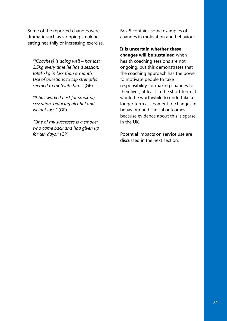Some of the reported changes were dramatic such as stopping smoking, eating healthily or increasing exercise.

*"[Coachee] is doing well – has lost 2.5kg every time he has a session; total 7kg in less than a month. Use of questions to tap strengths seemed to motivate him."* (GP)

*"It has worked best for smoking cessation, reducing alcohol and weight loss."* (GP)

*"One of my successes is a smoker who came back and had given up for ten days."* (GP)

Box 5 contains some examples of changes in motivation and behaviour.

**It is uncertain whether these changes will be sustained** when

health coaching sessions are not ongoing, but this demonstrates that the coaching approach has the power to motivate people to take responsibility for making changes to their lives, at least in the short term. It would be worthwhile to undertake a longer term assessment of changes in behaviour and clinical outcomes because evidence about this is sparse in the UK.

Potential impacts on service use are discussed in the next section.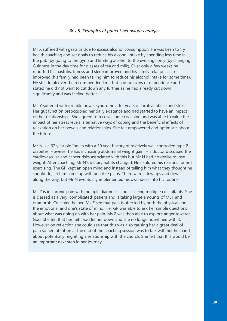### *Box 5: Examples of patient behaviour change*

Mr X suffered with gastritis due to excess alcohol consumption. He was keen to try health coaching and set goals to reduce his alcohol intake by spending less time in the pub (by going to the gym) and limiting alcohol to the evenings only (by changing Guinness in the day time for glasses of tea and milk). Over only a few weeks he reported his gastritis, fitness and sleep improved and his family relations also improved (his family had been telling him to reduce his alcohol intake for some time). He still drank over the recommended limit but had no signs of dependence and stated he did not want to cut down any further as he had already cut down significantly and was feeling better.

Ms Y suffered with irritable bowel syndrome after years of laxative abuse and stress. Her gut function preoccupied her daily existence and had started to have an impact on her relationships. She agreed to receive some coaching and was able to value the impact of her stress levels, alternative ways of coping and the beneficial effects of relaxation on her bowels and relationships. She felt empowered and optimistic about the future.

Mr N is a 62 year old Indian with a 30 year history of relatively well controlled type 2 diabetes. However he has increasing abdominal weight gain. His doctor discussed the cardiovascular and cancer risks associated with this but Mr N had no desire to lose weight. After coaching, Mr N's dietary habits changed. He explored his reasons for not exercising. The GP kept an open mind and instead of telling him what they thought he should do, let him come up with possible plans. There were a few ups and downs along the way, but Mr N eventually implemented his own ideas into his routine.

Ms Z is in chronic pain with multiple diagnoses and is seeing multiple consultants. She is classed as a very 'complicated' patient and is taking large amounts of MST and oramorph. Coaching helped Ms Z see that pain is affected by both the physical and the emotional and one's state of mind. Her GP was able to ask her simple questions about what was going on with her pain. Ms Z was then able to explore anger towards God. She felt that her faith had let her down and she no longer identified with it. However on reflection she could see that this was also causing her a great deal of pain so her intention at the end of the coaching session was to talk with her husband about potentially reigniting a relationship with the church. She felt that this would be an important next step in her journey.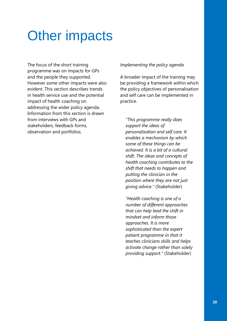# Other impacts

The focus of the short training programme was on impacts for GPs and the people they supported. However some other impacts were also evident. This section describes trends in health service use and the potential impact of health coaching on addressing the wider policy agenda. Information from this section is drawn from interviews with GPs and stakeholders, feedback forms, observation and portfolios.

### *Implementing the policy agenda*

A broader impact of the training may be providing a framework within which the policy objectives of personalisation and self care can be implemented in practice.

*"This programme really does support the ideas of personalisation and self care. It enables a mechanism by which some of these things can be achieved. It is a bit of a cultural shift. The ideas and concepts of health coaching contributes to the shift that needs to happen and putting the clinician in the position where they are not just giving advice."* (Stakeholder)

*"Health coaching is one of a number of different approaches that can help lead the shift in mindset and inform those approaches. It is more sophisticated than the expert patient programme in that it teaches clinicians skills and helps activate change rather than solely providing support."* (Stakeholder)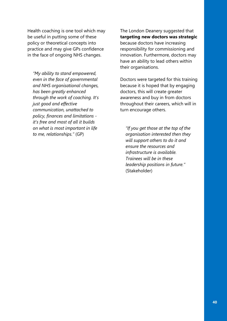Health coaching is one tool which may be useful in putting some of these policy or theoretical concepts into practice and may give GPs confidence in the face of ongoing NHS changes.

*"My ability to stand empowered, even in the face of governmental and NHS organisational changes, has been greatly enhanced through the work of coaching. It's just good and effective communication, unattached to policy, finances and limitations it's free and most of all it builds on what is most important in life to me, relationships."* (GP)

The London Deanery suggested that **targeting new doctors was strategic**  because doctors have increasing responsibility for commissioning and innovation. Furthermore, doctors may have an ability to lead others within their organisations.

Doctors were targeted for this training because it is hoped that by engaging doctors, this will create greater awareness and buy in from doctors throughout their careers, which will in turn encourage others.

*"If you get those at the top of the organisation interested then they will support others to do it and ensure the resources and infrastructure is available. Trainees will be in these leadership positions in future."* (Stakeholder)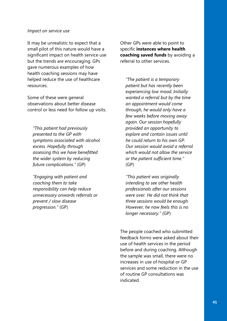#### *Impact on service use*

It may be unrealistic to expect that a small pilot of this nature would have a significant impact on health service use but the trends are encouraging. GPs gave numerous examples of how health coaching sessions may have helped reduce the use of healthcare resources.

Some of these were general observations about better disease control or less need for follow up visits.

*"This patient had previously presented to the GP with symptoms associated with alcohol excess. Hopefully through assessing this we have benefitted the wider system by reducing future complications."* (GP)

*"Engaging with patient and coaching them to take responsibility can help reduce unnecessary onwards referrals or prevent / slow disease progression."* (GP)

Other GPs were able to point to specific **instances where health coaching saved funds** by avoiding a referral to other services.

*"The patient is a temporary patient but has recently been experiencing low mood. Initially wanted a referral but by the time an appointment would come through, he would only have a few weeks before moving away again. Our session hopefully provided an opportunity to explore and contain issues until he could return to his own GP. Our session would avoid a referral which would not allow the service or the patient sufficient time."*  (GP)

*"This patient was originally intending to see other health professionals after our sessions were over. He did not think that three sessions would be enough. However, he now feels this is no longer necessary."* (GP)

The people coached who submitted feedback forms were asked about their use of health services in the period before and during coaching. Although the sample was small, there were no increases in use of hospital or GP services and some reduction in the use of routine GP consultations was indicated.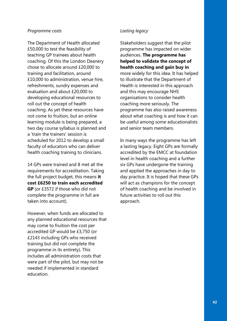### *Programme costs*

The Department of Health allocated £50,000 to test the feasibility of teaching GP trainees about health coaching. Of this the London Deanery chose to allocate around £20,000 to training and facilitation, around £10,000 to administration, venue hire, refreshments, sundry expenses and evaluation and about £20,000 to developing educational resources to roll out the concept of health coaching. As yet these resources have not come to fruition, but an online learning module is being prepared, a two day course syllabus is planned and a 'train the trainers' session is scheduled for 2012 to develop a small faculty of educators who can deliver health coaching training to clinicians.

14 GPs were trained and 8 met all the requirements for accreditation. Taking the full project budget, this means **it cost £6250 to train each accredited GP** (or £3572 if those who did not complete the programme in full are taken into account).

However, when funds are allocated to any planned educational resources that may come to fruition the cost per accredited GP would be £3,750 (or £2143 including GPs who received training but did not complete the programme in its entirety). This includes all administration costs that were part of the pilot, but may not be needed if implemented in standard education.

## *Lasting legacy*

Stakeholders suggest that the pilot programme has impacted on wider audiences. **The programme has helped to validate the concept of health coaching and gain buy in** more widely for this idea. It has helped to illustrate that the Department of Health is interested in this approach and this may encourage NHS organisations to consider health coaching more seriously. The programme has also raised awareness about what coaching is and how it can be useful among some educationalists and senior team members.

In many ways the programme has left a lasting legacy. Eight GPs are formally accredited by the EMCC at foundation level in health coaching and a further six GPs have undergone the training and applied the approaches in day to day practice. It is hoped that these GPs will act as champions for the concept of health coaching and be involved in future activities to roll out this approach.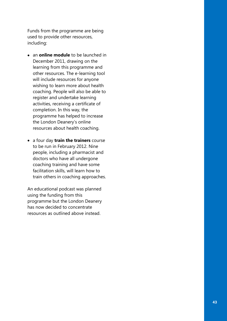Funds from the programme are being used to provide other resources, including:

- an **online module** to be launched in December 2011, drawing on the learning from this programme and other resources. The e -learning tool will include resources for anyone wishing to learn more about health coaching. People will also be able to register and undertake learning activities, receiving a certificate of completion. In this way, the programme has helped to increase the London Deanery's online resources about health coaching.
- a four day **train the trainers** course to be run in February 2012. Nine people, including a pharmacist and doctors who have all undergone coaching training and have some facilitation skills, will learn how to train others in coaching approaches.

An educational podcast was planned using the funding from this programme but the London Deanery has now decided to concentrate resources as outlined above instead.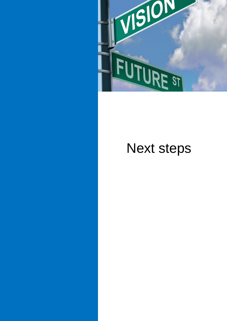

# Next steps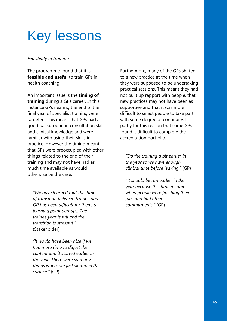# Key lessons

## *Feasibility of training*

The programme found that it is **feasible and useful** to train GPs in health coaching.

An important issue is the **timing of training** during a GPs career. In this instance GPs nearing the end of the final year of specialist training were targeted. This meant that GPs had a good background in consultation skills and clinical knowledge and were familiar with using their skills in practice. However the timing meant that GPs were preoccupied with other things related to the end of their training and may not have had as much time available as would otherwise be the case.

*"We have learned that this time of transition between trainee and GP has been difficult for them, a learning point perhaps. The trainee year is full and the transition is stressful."* (Stakeholder)

*"It would have been nice if we had more time to digest the content and it started earlier in the year. There were so many things where we just skimmed the surface."* (GP)

Furthermore, many of the GPs shifted to a new practice at the time when they were supposed to be undertaking practical sessions. This meant they had not built up rapport with people, that new practices may not have been as supportive and that it was more difficult to select people to take part with some degree of continuity. It is partly for this reason that some GPs found it difficult to complete the accreditation portfolio.

*"Do the training a bit earlier in the year so we have enough clinical time before leaving."* (GP)

*"It should be run earlier in the year because this time it came when people were finishing their jobs and had other commitments."* (GP)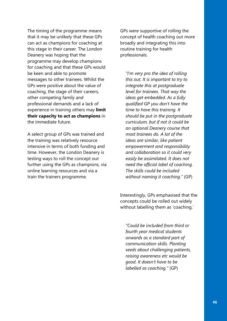The timing of the programme means that it may be unlikely that these GPs can act as champions for coaching at this stage in their career. The London Deanery was hoping that the programme may develop champions for coaching and that these GPs would be keen and able to promote messages to other trainees. Whilst the GPs were positive about the value of coaching, the stage of their careers, other competing family and professional demands and a lack of experience in training others may **limit their capacity to act as champions** in the immediate future.

A select group of GPs was trained and the training was relatively resource intensive in terms of both funding and time. However, the London Deanery is testing ways to roll the concept out further using the GPs as champions, via online learning resources and via a train the trainers programme.

GPs were supportive of rolling the concept of health coaching out more broadly and integrating this into routine training for health professionals.

*"I"m very pro the idea of rolling this out. It is important to try to integrate this at postgraduate level for trainees. That way the ideas get embedded. As a fully qualified GP you don"t have the time to have this training. It should be put in the postgraduate curriculum, but if not it could be an optional Deanery course that most trainees do. A lot of the ideas are similar, like patient empowerment and responsibility and collaboration so it could very easily be assimilated. It does not need the official label of coaching. The skills could be included without naming it coaching."* (GP)

Interestingly, GPs emphasised that the concepts could be rolled out widely without labelling them as 'coaching.'

*"Could be included from third or fourth year medical students onwards as a standard part of communication skills. Planting seeds about challenging patients, raising awareness etc would be good. It doesn"t have to be labelled as coaching."* (GP)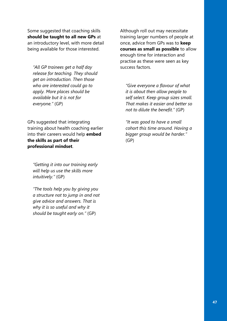Some suggested that coaching skills **should be taught to all new GPs** at an introductory level, with more detail being available for those interested.

*"All GP trainees get a half day release for teaching. They should get an introduction. Then those who are interested could go to apply. More places should be available but it is not for everyone."* (GP)

GPs suggested that integrating training about health coaching earlier into their careers would help **embed the skills as part of their professional mindset**.

*"Getting it into our training early will help us use the skills more intuitively."* (GP)

*"The tools help you by giving you a structure not to jump in and not give advice and answers. That is why it is so useful and why it should be taught early on."* (GP)

Although roll out may necessitate training larger numbers of people at once, advice from GPs was to **keep courses as small as possible** to allow enough time for interaction and practise as these were seen as key success factors.

*"Give everyone a flavour of what it is about then allow people to self select. Keep group sizes small. That makes it easier and better so not to dilute the benefit."* (GP)

*"It was good to have a small cohort this time around. Having a bigger group would be harder."* (GP)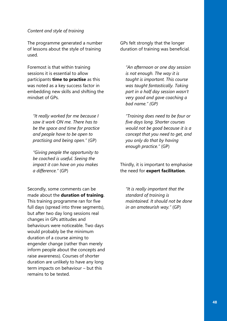### *Content and style of training*

The programme generated a number of lessons about the style of training used.

Foremost is that within training sessions it is essential to allow participants **time to practise** as this was noted as a key success factor in embedding new skills and shifting the mindset of GPs.

*"It really worked for me because I saw it work ON me. There has to be the space and time for practice and people have to be open to practising and being open."* (GP)

*"Giving people the opportunity to be coached is useful. Seeing the impact it can have on you makes a difference."* (GP)

Secondly, some comments can be made about the **duration of training**. This training programme ran for five full days (spread into three segments), but after two day long sessions real changes in GPs attitudes and behaviours were noticeable. Two days would probably be the minimum duration of a course aiming to engender change (rather than merely inform people about the concepts and raise awareness). Courses of shorter duration are unlikely to have any long term impacts on behaviour – but this remains to be tested.

GPs felt strongly that the longer duration of training was beneficial.

*"An afternoon or one day session is not enough. The way it is taught is important. This course was taught fantastically. Taking part in a half day session wasn"t very good and gave coaching a bad name." (GP)*

*"Training does need to be four or five days long. Shorter courses would not be good because it is a concept that you need to get, and you only do that by having enough practice."* (GP)

Thirdly, it is important to emphasise the need for **expert facilitation**.

*"It is really important that the standard of training is maintained. It should not be done in an amateurish way."* (GP)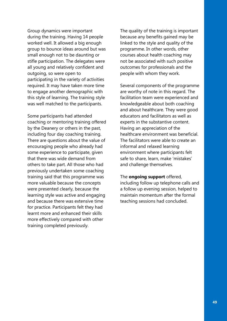Group dynamics were important during the training. Having 14 people worked well. It allowed a big enough group to bounce ideas around but was small enough not to be daunting or stifle participation. The delegates were all young and relatively confident and outgoing, so were open to participating in the variety of activities required. It may have taken more time to engage another demographic with this style of learning. The training style was well matched to the participants.

Some participants had attended coaching or mentoring training offered by the Deanery or others in the past, including four day coaching training. There are questions about the value of encouraging people who already had some experience to participate, given that there was wide demand from others to take part. All those who had previously undertaken some coaching training said that this programme was more valuable because the concepts were presented clearly, because the learning style was active and engaging and because there was extensive time for practice. Participants felt they had learnt more and enhanced their skills more effectively compared with other training completed previously.

The quality of the training is important because any benefits gained may be linked to the style and quality of the programme. In other words, other courses about health coaching may not be associated with such positive outcomes for professionals and the people with whom they work.

Several components of the programme are worthy of note in this regard. The facilitation team were experienced and knowledgeable about both coaching and about healthcare. They were good educators and facilitators as well as experts in the substantive content. Having an appreciation of the healthcare environment was beneficial. The facilitators were able to create an informal and relaxed learning environment where participants felt safe to share, learn, make 'mistakes' and challenge themselves.

#### The **ongoing support** offered,

including follow up telephone calls and a follow up evening session, helped to maintain momentum after the formal teaching sessions had concluded.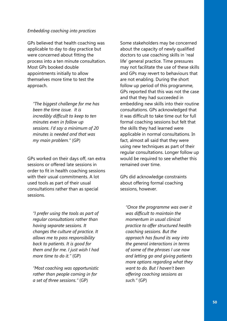### *Embedding coaching into practices*

GPs believed that health coaching was applicable to day to day practice but were concerned about fitting the process into a ten minute consultation. Most GPs booked double appointments initially to allow themselves more time to test the approach.

*"The biggest challenge for me has been the time issue. It is incredibly difficult to keep to ten minutes even in follow up sessions. I"d say a minimum of 20 minutes is needed and that was my main problem."* (GP)

GPs worked on their days off, ran extra sessions or offered late sessions in order to fit in health coaching sessions with their usual commitments. A lot used tools as part of their usual consultations rather than as special sessions.

*"I prefer using the tools as part of regular consultations rather than having separate sessions. It changes the culture of practice. It allows me to pass responsibility back to patients. It is good for them and for me. I just wish I had more time to do it."* (GP)

*"Most coaching was opportunistic rather than people coming in for a set of three sessions."* (GP)

Some stakeholders may be concerned about the capacity of newly qualified doctors to use coaching skills in 'real life' general practice. Time pressures may not facilitate the use of these skills and GPs may revert to behaviours that are not enabling. During the short follow up period of this programme, GPs reported that this was not the case and that they had succeeded in embedding new skills into their routine consultations. GPs acknowledged that it was difficult to take time out for full formal coaching sessions but felt that the skills they had learned were applicable in normal consultations. In fact, almost all said that they were using new techniques as part of their regular consultations. Longer follow up would be required to see whether this remained over time.

GPs did acknowledge constraints about offering formal coaching sessions, however.

*"Once the programme was over it was difficult to maintain the momentum in usual clinical practice to offer structured health coaching sessions. But the approach has found its way into the general interactions in terms of some of the phrases I use now and letting go and giving patients more options regarding what they want to do. But I haven"t been offering coaching sessions as such."* (GP)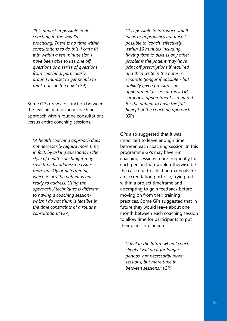*"It is almost impossible to do coaching in the way I"m practicing. There is no time within consultations to do this. I can"t fit it in within a ten minute slot. I have been able to use one off questions or a series of questions from coaching, particularly around mindset to get people to think outside the box."* (GP)

Some GPs drew a distinction between the feasibility of using a coaching approach within routine consultations versus entire coaching sessions.

*"A health coaching approach does not necessarily require more time, in fact, by asking questions in the style of health coaching it may save time by addressing issues more quickly or determining which issues the patient is not ready to address. Using the approach / techniques is different to having a coaching sessionwhich I do not think is feasible in the time constraints of a routine consultation."* (GP)

*"It is possible to introduce small ideas or approaches but it isn't possible to 'coach' effectively within 10 minutes including having time to discuss any other problems the patient may have, print off prescriptions if required and then write in the notes. A separate (longer if possible - but unlikely given pressures on appointment access at most GP surgeries) appointment is required for the patient to have the full benefit of the coaching approach."* (GP)

GPs also suggested that it was important to leave enough time between each coaching session. In this programme GPs may have run coaching sessions more frequently for each person than would otherwise be the case due to collating materials for an accreditation portfolio, trying to fit within a project timeframe and attempting to gain feedback before moving on from their training practices. Some GPs suggested that in future they would leave about one month between each coaching session to allow time for participants to put their plans into action.

*"I feel in the future when I coach clients I will do it for longer periods, not necessarily more sessions, but more time in between sessions."* (GP)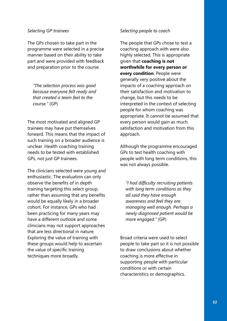#### *Selecting GP trainees*

The GPs chosen to take part in the programme were selected in a precise manner based on their ability to take part and were provided with feedback and preparation prior to the course.

*"The selection process was good because everyone felt ready and that created a team feel to the course."* (GP)

The most motivated and aligned GP trainees may have put themselves forward. This means that the impact of such training on a broader audience is unclear. Health coaching training needs to be tested with established GPs, not just GP trainees.

The clinicians selected were young and enthusiastic. The evaluation can only observe the benefits of in depth training targeting this select group, rather than assuming that any benefits would be equally likely in a broader cohort. For instance, GPs who had been practicing for many years may have a different outlook and some clinicians may not support approaches that are less directional in nature. Exploring the value of training with these groups would help to ascertain the value of specific training techniques more broadly.

#### *Selecting people to coach*

The people that GPs chose to test a coaching approach with were also highly selected. This is appropriate given that **coaching is not worthwhile for every person or every condition**. People were generally very positive about the impacts of a coaching approach on their satisfaction and motivation to change, but this needs to be interpreted in the context of selecting people for whom coaching was appropriate. It cannot be assumed that every person would gain as much satisfaction and motivation from this approach.

Although the programme encouraged GPs to test health coaching with people with long term conditions, this was not always possible.

*"I had difficulty recruiting patients with long term conditions as they all said they have enough awareness and feel they are managing well enough. Perhaps a newly diagnosed patient would be more engaged."* (GP)

Broad criteria were used to select people to take part so it is not possible to draw conclusions about whether coaching is more effective in supporting people with particular conditions or with certain characteristics or demographics.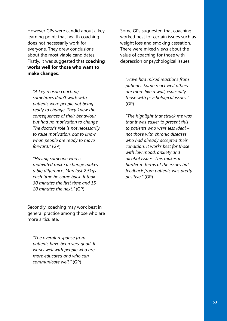However GPs were candid about a key learning point: that health coaching does not necessarily work for everyone. They drew conclusions about the most viable candidates. Firstly, it was suggested that **coaching works well for those who want to make changes**.

*"A key reason coaching sometimes didn"t work with patients were people not being ready to change. They knew the consequences of their behaviour but had no motivation to change. The doctor"s role is not necessarily to raise motivation, but to know when people are ready to move forward."* (GP)

*"Having someone who is motivated make a change makes a big difference. Man lost 2.5kgs each time he came back. It took 30 minutes the first time and 15- 20 minutes the next."* (GP)

Secondly, coaching may work best in general practice among those who are more articulate.

*"The overall response from patients have been very good. It works well with people who are more educated and who can communicate well."* (GP)

Some GPs suggested that coaching worked best for certain issues such as weight loss and smoking cessation. There were mixed views about the value of coaching for those with depression or psychological issues.

*"Have had mixed reactions from patients. Some react well others are more like a wall, especially those with psychological issues."*  (GP)

*"The highlight that struck me was that it was easier to present this to patients who were less ideal – not those with chronic diseases who had already accepted their condition. It works best for those with low mood, anxiety and alcohol issues. This makes it harder in terms of the issues but feedback from patients was pretty positive."* (GP)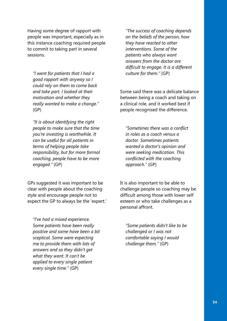Having some degree of rapport with people was important, especially as in this instance coaching required people to commit to taking part in several sessions.

*"I went for patients that I had a good rapport with anyway so I could rely on them to come back and take part. I looked at their motivation and whether they really wanted to make a change."*  (GP)

*"It is about identifying the right people to make sure that the time you"re investing is worthwhile. It can be useful for all patients in terms of helping people take responsibility, but for more formal coaching, people have to be more engaged."* (GP)

GPs suggested it was important to be clear with people about the coaching style and encourage people not to expect the GP to always be the 'expert.'

*"I"ve had a mixed experience. Some patients have been really positive and some have been a bit sceptical. Some were expecting me to provide them with lots of answers and so they didn"t get what they want. It can"t be applied to every single patient every single time."* (GP)

*"The success of coaching depends on the beliefs of the person, how they have reacted to other interventions. Some of the patients who always want answers from the doctor are difficult to engage. It is a different culture for them."* (GP)

Some said there was a delicate balance between being a coach and taking on a clinical role, and it worked best if people recognised the difference.

*"Sometimes there was a conflict in roles as a coach versus a doctor. Sometimes patients wanted a doctor"s opinion and were seeking medication. This conflicted with the coaching approach."* (GP)

It is also important to be able to challenge people so coaching may be difficult among those with lower self esteem or who take challenges as a personal affront.

*"Some patients didn"t like to be challenged or I was not comfortable saying I would challenge them."* (GP)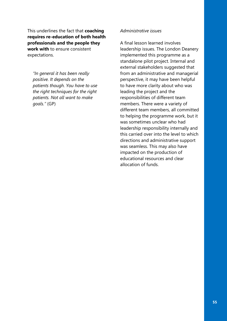This underlines the fact that **coaching requires re-education of both health professionals and the people they work with** to ensure consistent expectations.

*"In general it has been really positive. It depends on the patients though. You have to use the right techniques for the right patients. Not all want to make goals."* (GP)

#### *Administrative issues*

A final lesson learned involves leadership issues. The London Deanery implemented this programme as a standalone pilot project. Internal and external stakeholders suggested that from an administrative and managerial perspective, it may have been helpful to have more clarity about who was leading the project and the responsibilities of different team members. There were a variety of different team members, all committed to helping the programme work, but it was sometimes unclear who had leadership responsibility internally and this carried over into the level to which directions and administrative support was seamless. This may also have impacted on the production of educational resources and clear allocation of funds.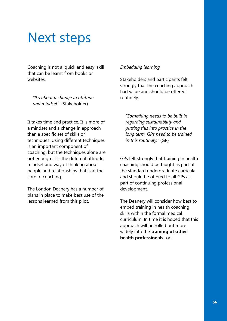# Next steps

Coaching is not a 'quick and easy' skill that can be learnt from books or websites.

*"It"s about a change in attitude and mindset."* (Stakeholder)

It takes time and practice. It is more of a mindset and a change in approach than a specific set of skills or techniques. Using different techniques is an important component of coaching, but the techniques alone are not enough. It is the different attitude, mindset and way of thinking about people and relationships that is at the core of coaching.

The London Deanery has a number of plans in place to make best use of the lessons learned from this pilot.

### *Embedding learning*

Stakeholders and participants felt strongly that the coaching approach had value and should be offered routinely.

*"Something needs to be built in regarding sustainability and putting this into practice in the long term. GPs need to be trained in this routinely."* (GP)

GPs felt strongly that training in health coaching should be taught as part of the standard undergraduate curricula and should be offered to all GPs as part of continuing professional development.

The Deanery will consider how best to embed training in health coaching skills within the formal medical curriculum. In time it is hoped that this approach will be rolled out more widely into the **training of other health professionals** too.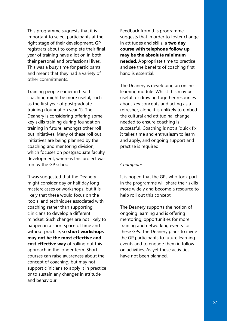This programme suggests that it is important to select participants at the right stage of their development. GP registrars about to complete their final year of training have a lot on in both their personal and professional lives. This was a busy time for participants and meant that they had a variety of other commitments.

Training people earlier in health coaching might be more useful, such as the first year of postgraduate training (foundation year 1). The Deanery is considering offering some key skills training during foundation training in future, amongst other roll out initiatives. Many of these roll out initiatives are being planned by the coaching and mentoring division, which focuses on postgraduate faculty development, whereas this project was run by the GP school.

It was suggested that the Deanery might consider day or half day long masterclasses or workshops, but it is likely that these would focus on the 'tools' and techniques associated with coaching rather than supporting clinicians to develop a different mindset. Such changes are not likely to happen in a short space of time and without practice, so **short workshops may not be the most effective and cost effective way** of rolling out this approach in the longer term. Short courses can raise awareness about the concept of coaching, but may not support clinicians to apply it in practice or to sustain any changes in attitude and behaviour.

Feedback from this programme suggests that in order to foster change in attitudes and skills, a **two day course with telephone follow up may be the absolute minimum needed**. Appropriate time to practise and see the benefits of coaching first hand is essential.

The Deanery is developing an online learning module. Whilst this may be useful for drawing together resources about key concepts and acting as a refresher, alone it is unlikely to embed the cultural and attitudinal change needed to ensure coaching is successful. Coaching is not a 'quick fix.' It takes time and enthusiasm to learn and apply, and ongoing support and practise is required.

### *Champions*

It is hoped that the GPs who took part in the programme will share their skills more widely and become a resource to help roll out this concept.

The Deanery supports the notion of ongoing learning and is offering mentoring, opportunities for more training and networking events for these GPs. The Deanery plans to invite the GP participants to future learning events and to engage them in follow on activities. As yet these activities have not been planned.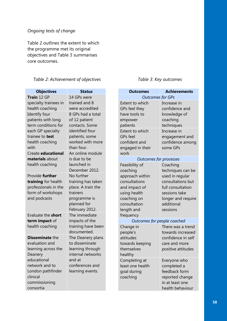# *Ongoing tests of change*

Table 2 outlines the extent to which the programme met its original objectives and Table 3 summarises core outcomes.

# *Table 2: Achievement of objectives*

| <b>Objectives</b>         | <b>Status</b>      |
|---------------------------|--------------------|
| Train 12 GP               | 14 GPs were        |
| specialty trainees in     | trained and 8      |
| health coaching           | were accredited    |
| Identify four             | 8 GPs had a total  |
| patients with long        | of 12 patient      |
| term conditions for       | contacts. Some     |
| each GP specialty         | identified four    |
| trainee to <b>test</b>    | patients, some     |
| health coaching           | worked with more   |
| with                      | than four.         |
| Create educational        | An online module   |
| materials about           | is due to be       |
| health coaching           | launched in        |
|                           | December 2012.     |
| Provide further           | No further         |
| training for health       | training has taken |
| professionals in the      | place. A train the |
| form of workshops         | trainers           |
| and podcasts              | programme is       |
|                           | planned for        |
|                           | February 2012.     |
| Evaluate the <b>short</b> | The immediate      |
| term impact of            | impacts of the     |
| health coaching           | training have been |
|                           | documented.        |
| <b>Disseminate the</b>    | The Deanery plans  |
| evaluation and            | to disseminate     |
| learning across the       | learning through   |
| Deanery                   | internal networks  |
| educational               | and at             |
| network and to            | conferences and    |
| London pathfinder         | learning events.   |
| clinical                  |                    |
| commissioning             |                    |
| consortia                 |                    |

# *Table 3: Key outcomes*

| <b>Outcomes</b>             | <b>Achievements</b> |  |
|-----------------------------|---------------------|--|
| <b>Outcomes for GPs</b>     |                     |  |
| <b>Extent to which</b>      | Increase in         |  |
| GPs feel they               | confidence and      |  |
| have tools to               | knowledge of        |  |
| empower                     | coaching            |  |
| patients                    | techniques          |  |
| <b>Extent to which</b>      | Increase in         |  |
| GPs feel                    | engagement and      |  |
| confident and               | confidence among    |  |
| engaged in their            | some GPs            |  |
| work                        |                     |  |
| Outcomes for processes      |                     |  |
| Feasibility of              | Coaching            |  |
| coaching                    | techniques can be   |  |
| approach within             | used in regular     |  |
| consultations               | consultations but   |  |
| and impact of               | full consultation   |  |
| using health                | sessions take       |  |
| coaching on                 | longer and require  |  |
| consultation                | additional          |  |
| length and                  | sessions            |  |
| frequency                   |                     |  |
| Outcomes for people coached |                     |  |
| Change in                   | There was a trend   |  |
| people's                    | towards increased   |  |
| attitudes                   | confidence in self  |  |
| towards keeping             | care and more       |  |
| themselves                  | positive attitudes  |  |
| healthy                     |                     |  |
| Completing at               | Everyone who        |  |
| least one health            | completed a         |  |
| goal during                 | feedback form       |  |
| coaching                    | reported change     |  |
|                             | in at least one     |  |
|                             | health behaviour    |  |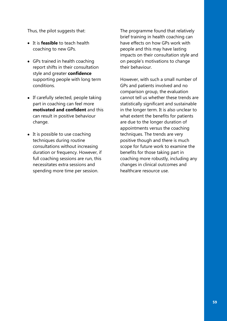Thus, the pilot suggests that:

- It is **feasible** to teach health coaching to new GPs.
- GPs trained in health coaching report shifts in their consultation style and greater **confidence** supporting people with long term conditions.
- If carefully selected, people taking part in coaching can feel more **motivated and confident** and this can result in positive behaviour change.
- $\bullet$  It is possible to use coaching techniques during routine consultations without increasing duration or frequency. However, if full coaching sessions are run, this necessitates extra sessions and spending more time per session.

The programme found that relatively brief training in health coaching can have effects on how GPs work with people and this may have lasting impacts on their consultation style and on people's motivations to change their behaviour.

However, with such a small number of GPs and patients involved and no comparison group, the evaluation cannot tell us whether these trends are statistically significant and sustainable in the longer term. It is also unclear to what extent the benefits for patients are due to the longer duration of appointments versus the coaching techniques. The trends are very positive though and there is much scope for future work to examine the benefits for those taking part in coaching more robustly, including any changes in clinical outcomes and healthcare resource use.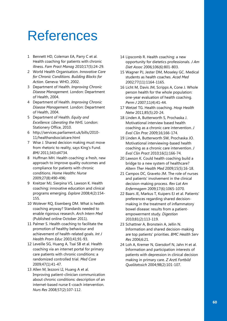# References

- 1 Bennett HD, Coleman EA, Parry C et al. Health coaching for patients with chronic illness. *Fam Pract Manag* 2010;17(5):24-29.
- 2 World Health Organisation. *Innovative Care for Chronic Conditions. Building Blocks for Action*. Geneva: WHO, 2002.
- 3 Department of Health. *Improving Chronic Disease Management*. London: Department of Health, 2004.
- 4 Department of Health. *Improving Chronic Disease Management*. London: Department of Health, 2004.
- 5 Department of Health. *Equity and Excellence: Liberating the NHS.* London: Stationery Office, 2010.
- 6 http://services.parliament.uk/bills/2010- 11/healthandsocialcare.html
- 7 Wise J. Shared decision making must move from rhetoric to reality, says King's Fund. *BMJ* 2011;343:d4734.
- 8 Huffman MH. Health coaching: a fresh, new approach to improve quality outcomes and compliance for patients with chronic conditions. *Home Healthc Nurse* 2009;27(8):490-496;
- 9 Kreitzer MJ, Sierpina VS, Lawson K. Health coaching: innovative education and clinical programs emerging. *Explore* 2008;4(2):154- 155.
- 10 Wolever RQ, Eisenberg DM. What is health coaching anyway? Standards needed to enable rigorous research. *Arch Intern Med* (Published online October 2011).
- 11 Palmer S. Health coaching to facilitate the promotion of healthy behaviour and achievement of health-related goals. *Int J Health Prom Educ* 2003;41;91-93.
- 12 Leveille SG, Huang A, Tsai SB et al. Health coaching via an internet portal for primary care patients with chronic conditions: a randomized controlled trial. *Med Care* 2009;47(1):41-47.
- 13 Allen M, Iezzoni LI, Huang A et al. Improving patient-clinician communication about chronic conditions: description of an internet-based nurse E-coach intervention. *Nurs Res* 2008;57(2):107-112.
- 14 Lipscomb R. Health coaching: a new opportunity for dietetics professionals. *J Am Diet Assoc* 2006;106(6):801-803.
- 15 Wagner PJ, Jester DM, Moseley GC. [Medical](http://www.ncbi.nlm.nih.gov/pubmed/12431943)  [students as health coaches.](http://www.ncbi.nlm.nih.gov/pubmed/12431943) *Acad Med* 2002;77(11):1164-1165.
- 16 Licht M, Davis JM, Scripps A, Cone J. Whole person health for the whole population: one-year evaluation of health coaching. *Perm J* 2007;11(4):41-44.
- 17 Wetzel TG. Health coaching. *Hosp Health Netw* 2011;85(5):20-24.
- 18 Linden A, Butterworth S, Prochaska J. Motivational interview based health coaching as a chronic care intervention. *J Eval Clin Prac* 2009;16;166-174.
- 19 Linden A, Butterworth SW, Prochaska JO. Motivational interviewing-based health coaching as a chronic care intervention. *J Eval Clin Pract* 2010;16(1):166-74.
- 20 Lawson K. Could health coaching build a bridge to a new system of healthcare? *Altern Ther Health Med* 2009;15(5):16-18.
- 21 Campos DC, Graveto JM. The role of nurses and patients' involvement in the clinical decision-making process. *Rev Lat Am Enfermagem* 2009;17(6):1065-1070.
- 22 Baars JE, Markus T, Kuipers EJ et al. Patients' preferences regarding shared decisionmaking in the treatment of inflammatory bowel disease: results from a patientempowerment study. *Digestion*  2010;81(2):113-119.
- 23 Schattner A, Bronstein A, Jellin N. Information and shared decision-making are top patients' priorities. *BMC Health Serv Res* 2006;6:21.
- 24 Loh A, Kremer N, Giersdorf N, Jahn H et al. Information and participation interests of patients with depression in clinical decision making in primary care. *Z Arztl Fortbild Qualitatssich* 2004;98(2):101-107.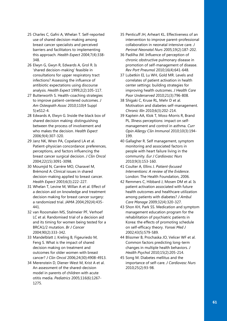- 25 Charles C, Gafni A, Whelan T. Self-reported use of shared decision-making among breast cancer specialists and perceived barriers and facilitators to implementing this approach. *Health Expect* 2004;7(4):338- 348.
- 26 Elwyn G, Gwyn R, Edwards A, Grol R. Is 'shared decision-making' feasible in consultations for upper respiratory tract infections? Assessing the influence of antibiotic expectations using discourse analysis. *Health Expect* 1999;2(2):105-117.
- 27 Butterworth S. Health-coaching strategies to improve patient-centered outcomes. *J Am Osteopath Assoc* 2010;110(4 Suppl 5):eS12-4.
- 28 Edwards A, Elwyn G. Inside the black box of shared decision making: distinguishing between the process of involvement and who makes the decision. *Health Expect* 2006;9(4):307-320.
- 29 Janz NK, Wren PA, Copeland LA et al. Patient-physician concordance: preferences, perceptions, and factors influencing the breast cancer surgical decision. *J Clin Oncol* 2004;22(15):3091-3098.
- 30 Moumjid N, Carrère MO, Charavel M, Brémond A. Clinical issues in shared decision-making applied to breast cancer. *Health Expect* 2003;6(3):222-227.
- 31 Whelan T, Levine M, Willan A et al. Effect of a decision aid on knowledge and treatment decision making for breast cancer surgery: a randomized trial. *JAMA* 2004;292(4):435- 441.
- 32 van Roosmalen MS, Stalmeier PF, Verhoef LC et al. Randomised trial of a decision aid and its timing for women being tested for a BRCA1/2 mutation. *Br J Cancer* 2004;90(2):333-342.
- 33 Mandelblatt J, Kreling B, Figeuriedo M, Feng S. What is the impact of shared decision making on treatment and outcomes for older women with breast cancer? *J Clin Oncol* 2006;24(30):4908-4913.
- 34 Merenstein D, Diener-West M, Krist A et al. An assessment of the shared-decision model in parents of children with acute otitis media. *Pediatrics* 2005;116(6):1267- 1275.
- 35 Penticuff JH, Arheart KL. Effectiveness of an intervention to improve parent-professional collaboration in neonatal intensive care. *J Perinat Neonatal Nurs* 2005;19(2):187-202.
- 36 Padilha JM. Influence of perception of chronic obstructive pulmonary disease in promotion of self-management of disease. *Rev Port Pneumol* 2010;16(4):641-648.
- 37 Lubetkin EI, Lu WH, Gold MR. Levels and correlates of patient activation in health center settings: building strategies for improving health outcomes. *J Health Care Poor Underserved* 2010;21(3):796-808.
- 38 Shigaki C, Kruse RL, Mehr D et al. Motivation and diabetes self-management. *Chronic Illn* 2010;6(3):202-214.
- 39 Kaptein AA, Klok T, Moss-Morris R, Brand PL. Illness perceptions: impact on selfmanagement and control in asthma. *Curr Opin Allergy Clin Immunol* 2010;10(3):194- 199.
- 40 Gallagher R. Self management, symptom monitoring and associated factors in people with heart failure living in the community. *Eur J Cardiovasc Nurs* 2010;9(3):153-160.
- 41 [Coulter A, Ellins J.](http://www.health.org.uk/publications/research_reports/patientfocused.html) *Patient-focused [Interventions: A review of the Evidence](http://www.health.org.uk/publications/research_reports/patientfocused.html)*. [London: The Health Foundation, 2006.](http://www.health.org.uk/publications/research_reports/patientfocused.html)
- 42 Remmers C, Hibbard J, Mosen DM et al. [Is](http://www.ncbi.nlm.nih.gov/pubmed/19888008)  [patient activation associated with future](http://www.ncbi.nlm.nih.gov/pubmed/19888008)  [health outcomes and healthcare utilization](http://www.ncbi.nlm.nih.gov/pubmed/19888008)  [among patients with diabetes?](http://www.ncbi.nlm.nih.gov/pubmed/19888008) *J Ambul Care Manage* 2009;32(4):320-327.
- 43 [Shon KH,](http://www.ncbi.nlm.nih.gov/pubmed?term=%22Shon%20KH%22%5BAuthor%5D&itool=EntrezSystem2.PEntrez.Pubmed.Pubmed_ResultsPanel.Pubmed_RVAbstract) [Park SS.](http://www.ncbi.nlm.nih.gov/pubmed?term=%22Park%20SS%22%5BAuthor%5D&itool=EntrezSystem2.PEntrez.Pubmed.Pubmed_ResultsPanel.Pubmed_RVAbstract) [Medication and symptom](http://www.ncbi.nlm.nih.gov/pubmed/12402370)  [management education program for the](http://www.ncbi.nlm.nih.gov/pubmed/12402370)  [rehabilitation of psychiatric patients in](http://www.ncbi.nlm.nih.gov/pubmed/12402370)  [Korea: the effects of promoting schedule](http://www.ncbi.nlm.nih.gov/pubmed/12402370)  [on self-efficacy theory.](http://www.ncbi.nlm.nih.gov/pubmed/12402370) *[Yonsei Med J](javascript:AL_get(this,%20)* 2002;43(5):579-589.
- 44 Blissmer B, Prochaska JO, Velicer WF et al. Common factors predicting long-term changes in multiple health behaviors. *J Health Psychol* 2010;15(2):205-214.
- 45 Song M. Diabetes mellitus and the importance of self-care. *J Cardiovasc Nurs* 2010;25(2):93-98.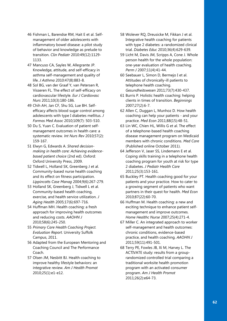- 46 Fishman L, Barendse RM, Hait E et al. Selfmanagement of older adolescents with inflammatory bowel disease: a pilot study of behavior and knowledge as prelude to transition. *Clin Pediatr* 2010:49(12):1129- 1133.
- 47 Mancuso CA, Sayles W, Allegrante JP. Knowledge, attitude, and self-efficacy in asthma self-management and quality of life. *J Asthma* 2010:47(8):883-8.
- 48 Sol BG, van der Graaf Y, van Petersen R, Visseren FL. The effect of self-efficacy on cardiovascular lifestyle. *Eur J Cardiovasc Nurs* 2011;10(3):180-186.
- 49 Chih AH, Jan CF, Shu SG, Lue BH. Selfefficacy affects blood sugar control among adolescents with type I diabetes mellitus. *J Formos Med Assoc* 2010;109(7): 503-510.
- 50 Du S, Yuan C. Evaluation of patient selfmanagement outcomes in health care: a systematic review. *Int Nurs Rev* 2010;57(2): 159-167.
- 51 Elwyn G, Edwards A. *[Shared decision](http://ukcatalogue.oup.com/product/9780199546275.do)[making in health care: Achieving evidence](http://ukcatalogue.oup.com/product/9780199546275.do)[based patient choice](http://ukcatalogue.oup.com/product/9780199546275.do)* (2nd ed). Oxford: Oxford University Press, 2009.
- 52 Tidwell L, Holland SK, Greenberg J et al. Community-based nurse health coaching and its effect on fitness participation. *Lippincotts Case Manag* 2004;9(6):267-279.
- 53 Holland SK, Greenberg J, Tidwell L et al. Community-based health coaching, exercise, and health service utilization. *J Aging Health* 2005;17(6):697-716.
- 54 Huffman MH. Health coaching: a fresh approach for improving health outcomes and reducing costs. *AAOHN J* 2010;58(6):245-250.
- 55 *Primary Care Health Coaching Project. Evaluation Report*. University Suffolk Campus, 2011.
- 56 Adapted from the European Mentoring and Coaching Council and The Performance Coach.
- 57 Olsen JM, Nesbitt BJ. Health coaching to improve healthy lifestyle behaviors: an integrative review. *Am J Health Promot* 2010;25(1):e1-e12.
- 58 Wolever RQ, Dreusicke M, Fikkan J et al. Integrative health coaching for patients with type 2 diabetes: a randomized clinical trial. *Diabetes Educ* 2010;36(4):629-639.
- 59 Licht M, Davis JM, Scripps A, Cone J. Whole person health for the whole population: one-year evaluation of health coaching. *Perm J* 2007;11(4):41-44.
- 60 Seebauer L, Simon D, Bermejo I et al. Attitudes of chronically-ill patients to telephone health coaching. *Gesundheitswesen* 2011;73(7):430-437.
- 61 Burris P. Holistic health coaching: helping clients in times of transition. *Beginnings* 2007;27(2):6-7.
- 62 Allen C, Duggan L, Munhoz D. How health coaching can help your patients - and your practice. *Med Econ* 2011;88(15):48-51.
- 63 Lin WC, Chien HL, Willis G et al. [The effect](http://www.ncbi.nlm.nih.gov/pubmed/21993059)  [of a telephone-based health coaching](http://www.ncbi.nlm.nih.gov/pubmed/21993059) [disease management program on Medicaid](http://www.ncbi.nlm.nih.gov/pubmed/21993059)  [members with chronic conditions.](http://www.ncbi.nlm.nih.gov/pubmed/21993059) *Med Care* (Published online October 2011).
- 64 Jefferson V, Jaser SS, Lindemann E et al. Coping skills training in a telephone health coaching program for youth at risk for type 2 diabetes. *J Pediatr Health Care* 2011;25(3):153-161.
- 65 Buckley PT. Health coaching good for your patients and your practice. How to cater to a growing segment of patients who want partners in their quest for health. *Med Econ* 2010;87(22):60-70.
- 66 Huffman M. Health coaching: a new and exciting technique to enhance patient selfmanagement and improve outcomes. *Home Healthc Nurse* 2007;25(4):271-4.
- 67 Miller C. An integrated approach to worker self-management and health outcomes: chronic conditions, evidence-based practice, and health coaching. *AAOHN J* 2011;59(11):491-501.
- 68 Terry PE, Fowles JB, Xi M, Harvey L. The ACTIVATE study: results from a grouprandomized controlled trial comparing a traditional worksite health promotion program with an activated consumer program. *Am J Health Promot* 2011;26(2):e64-73.